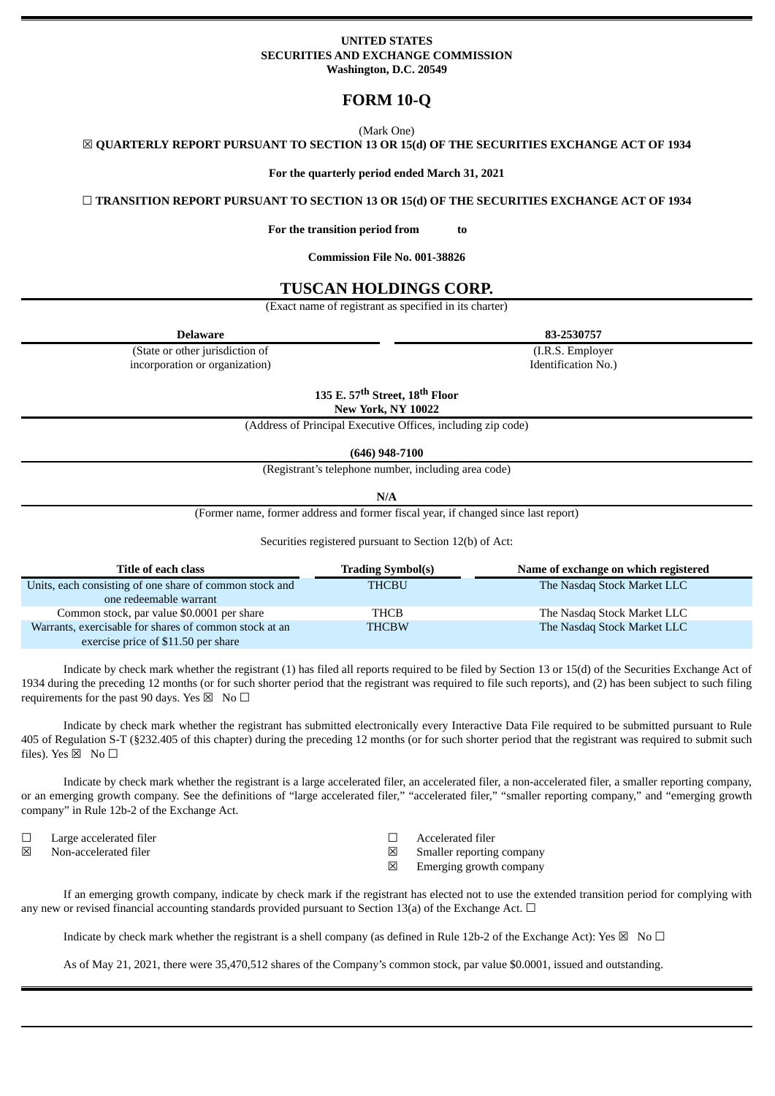### **UNITED STATES SECURITIES AND EXCHANGE COMMISSION Washington, D.C. 20549**

# **FORM 10-Q**

(Mark One)

☒ **QUARTERLY REPORT PURSUANT TO SECTION 13 OR 15(d) OF THE SECURITIES EXCHANGE ACT OF 1934**

**For the quarterly period ended March 31, 2021**

☐ **TRANSITION REPORT PURSUANT TO SECTION 13 OR 15(d) OF THE SECURITIES EXCHANGE ACT OF 1934**

**For the transition period from to**

**Commission File No. 001-38826**

# **TUSCAN HOLDINGS CORP.**

(Exact name of registrant as specified in its charter)

(State or other jurisdiction of incorporation or organization)

**135 E. 57 th Street, 18 th Floor**

**New York, NY 10022**

(Address of Principal Executive Offices, including zip code)

**(646) 948-7100**

(Registrant's telephone number, including area code)

**N/A**

(Former name, former address and former fiscal year, if changed since last report)

Securities registered pursuant to Section 12(b) of Act:

| Title of each class                                     | <b>Trading Symbol(s)</b> | Name of exchange on which registered |
|---------------------------------------------------------|--------------------------|--------------------------------------|
| Units, each consisting of one share of common stock and | <b>THCBU</b>             | The Nasdag Stock Market LLC          |
| one redeemable warrant                                  |                          |                                      |
| Common stock, par value \$0.0001 per share              | THCB                     | The Nasdag Stock Market LLC          |
| Warrants, exercisable for shares of common stock at an  | <b>THCBW</b>             | The Nasdag Stock Market LLC          |
| exercise price of \$11.50 per share                     |                          |                                      |

Indicate by check mark whether the registrant (1) has filed all reports required to be filed by Section 13 or 15(d) of the Securities Exchange Act of 1934 during the preceding 12 months (or for such shorter period that the registrant was required to file such reports), and (2) has been subject to such filing requirements for the past 90 days. Yes  $\boxtimes$  No  $\Box$ 

Indicate by check mark whether the registrant has submitted electronically every Interactive Data File required to be submitted pursuant to Rule 405 of Regulation S-T (§232.405 of this chapter) during the preceding 12 months (or for such shorter period that the registrant was required to submit such files). Yes  $\boxtimes$  No  $\square$ 

Indicate by check mark whether the registrant is a large accelerated filer, an accelerated filer, a non-accelerated filer, a smaller reporting company, or an emerging growth company. See the definitions of "large accelerated filer," "accelerated filer," "smaller reporting company," and "emerging growth company" in Rule 12b-2 of the Exchange Act.

☐ Large accelerated filer ☐ Accelerated filer

 $\boxtimes$  Non-accelerated filer  $\boxtimes$  Smaller reporting company

☒ Emerging growth company

If an emerging growth company, indicate by check mark if the registrant has elected not to use the extended transition period for complying with any new or revised financial accounting standards provided pursuant to Section 13(a) of the Exchange Act.  $\Box$ 

Indicate by check mark whether the registrant is a shell company (as defined in Rule 12b-2 of the Exchange Act): Yes  $\boxtimes$  No  $\Box$ 

As of May 21, 2021, there were 35,470,512 shares of the Company's common stock, par value \$0.0001, issued and outstanding.

**Delaware 83-2530757** (I.R.S. Employer

Identification No.)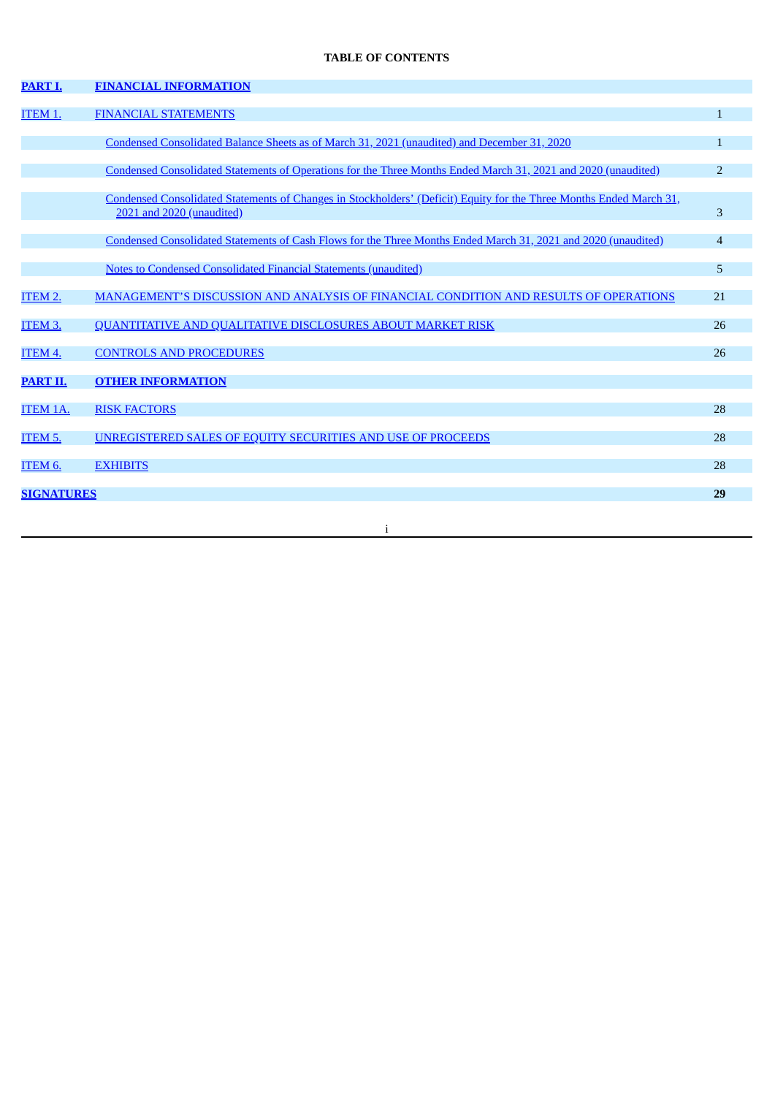# **TABLE OF CONTENTS**

| $\mathbf{1}$<br>$\mathbf{1}$<br>$\overline{2}$ |
|------------------------------------------------|
|                                                |
|                                                |
|                                                |
|                                                |
| 3                                              |
| $\overline{4}$                                 |
| 5                                              |
| 21                                             |
| 26                                             |
| 26                                             |
|                                                |
|                                                |
| 28                                             |
| 28                                             |
| 28                                             |
| 29                                             |
|                                                |
|                                                |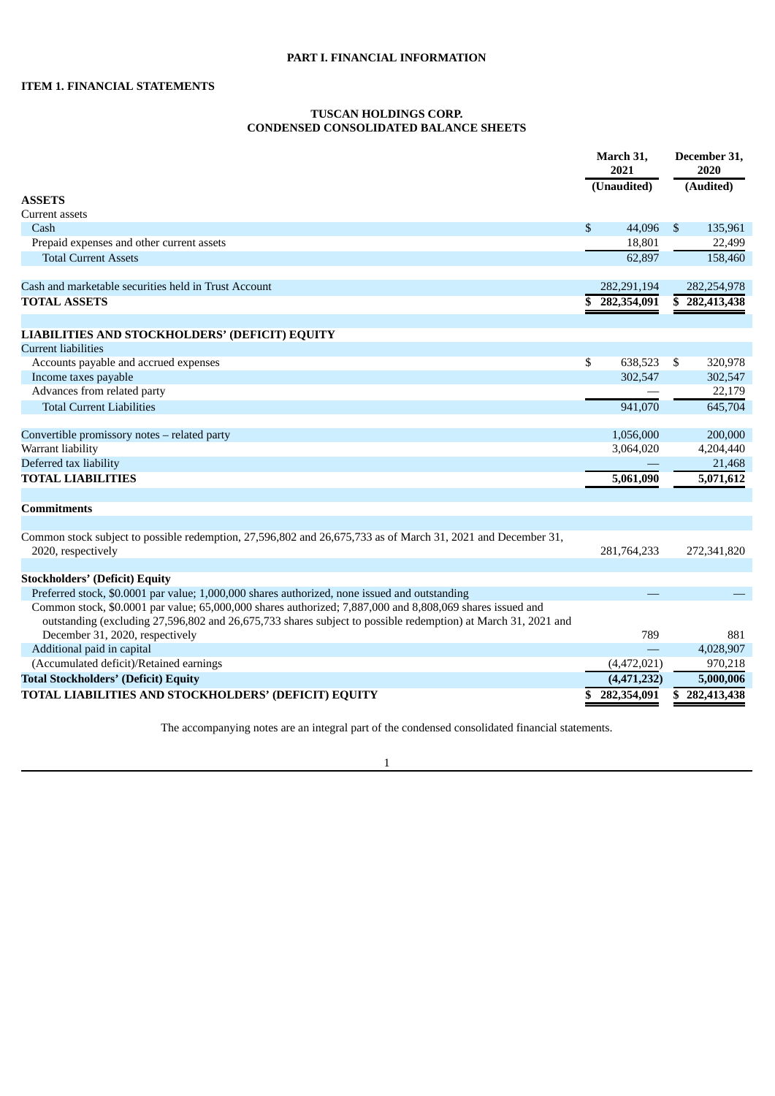# <span id="page-2-2"></span><span id="page-2-1"></span><span id="page-2-0"></span>**ITEM 1. FINANCIAL STATEMENTS**

## **TUSCAN HOLDINGS CORP. CONDENSED CONSOLIDATED BALANCE SHEETS**

|                                                                                                                                                                                                                            |     | March 31,<br>2021 | December 31,<br>2020 |
|----------------------------------------------------------------------------------------------------------------------------------------------------------------------------------------------------------------------------|-----|-------------------|----------------------|
| <b>ASSETS</b>                                                                                                                                                                                                              |     | (Unaudited)       | (Audited)            |
| Current assets                                                                                                                                                                                                             |     |                   |                      |
| Cash                                                                                                                                                                                                                       | \$  | 44,096            | \$<br>135,961        |
| Prepaid expenses and other current assets                                                                                                                                                                                  |     | 18,801            | 22,499               |
| <b>Total Current Assets</b>                                                                                                                                                                                                |     | 62,897            | 158,460              |
| Cash and marketable securities held in Trust Account                                                                                                                                                                       |     | 282,291,194       | 282,254,978          |
| <b>TOTAL ASSETS</b>                                                                                                                                                                                                        | \$  | 282,354,091       | \$282,413,438        |
| <b>LIABILITIES AND STOCKHOLDERS' (DEFICIT) EQUITY</b>                                                                                                                                                                      |     |                   |                      |
| <b>Current liabilities</b>                                                                                                                                                                                                 |     |                   |                      |
| Accounts payable and accrued expenses                                                                                                                                                                                      | \$  | 638,523           | \$<br>320,978        |
| Income taxes payable                                                                                                                                                                                                       |     | 302,547           | 302,547              |
| Advances from related party                                                                                                                                                                                                |     |                   | 22,179               |
| <b>Total Current Liabilities</b>                                                                                                                                                                                           |     | 941,070           | 645,704              |
| Convertible promissory notes - related party                                                                                                                                                                               |     | 1,056,000         | 200,000              |
| Warrant liability                                                                                                                                                                                                          |     | 3,064,020         | 4,204,440            |
| Deferred tax liability                                                                                                                                                                                                     |     |                   | 21,468               |
| <b>TOTAL LIABILITIES</b>                                                                                                                                                                                                   |     | 5,061,090         | 5,071,612            |
| <b>Commitments</b>                                                                                                                                                                                                         |     |                   |                      |
| Common stock subject to possible redemption, 27,596,802 and 26,675,733 as of March 31, 2021 and December 31,                                                                                                               |     |                   |                      |
| 2020, respectively                                                                                                                                                                                                         |     | 281,764,233       | 272,341,820          |
| <b>Stockholders' (Deficit) Equity</b>                                                                                                                                                                                      |     |                   |                      |
| Preferred stock, \$0.0001 par value; 1,000,000 shares authorized, none issued and outstanding                                                                                                                              |     |                   |                      |
| Common stock, \$0.0001 par value; 65,000,000 shares authorized; 7,887,000 and 8,808,069 shares issued and<br>outstanding (excluding 27,596,802 and 26,675,733 shares subject to possible redemption) at March 31, 2021 and |     |                   |                      |
| December 31, 2020, respectively                                                                                                                                                                                            |     | 789               | 881                  |
| Additional paid in capital                                                                                                                                                                                                 |     |                   | 4,028,907            |
| (Accumulated deficit)/Retained earnings                                                                                                                                                                                    |     | (4,472,021)       | 970,218              |
| <b>Total Stockholders' (Deficit) Equity</b>                                                                                                                                                                                |     | (4,471,232)       | 5,000,006            |
| TOTAL LIABILITIES AND STOCKHOLDERS' (DEFICIT) EQUITY                                                                                                                                                                       | SS. | 282,354,091       | \$282,413,438        |

The accompanying notes are an integral part of the condensed consolidated financial statements.

## 1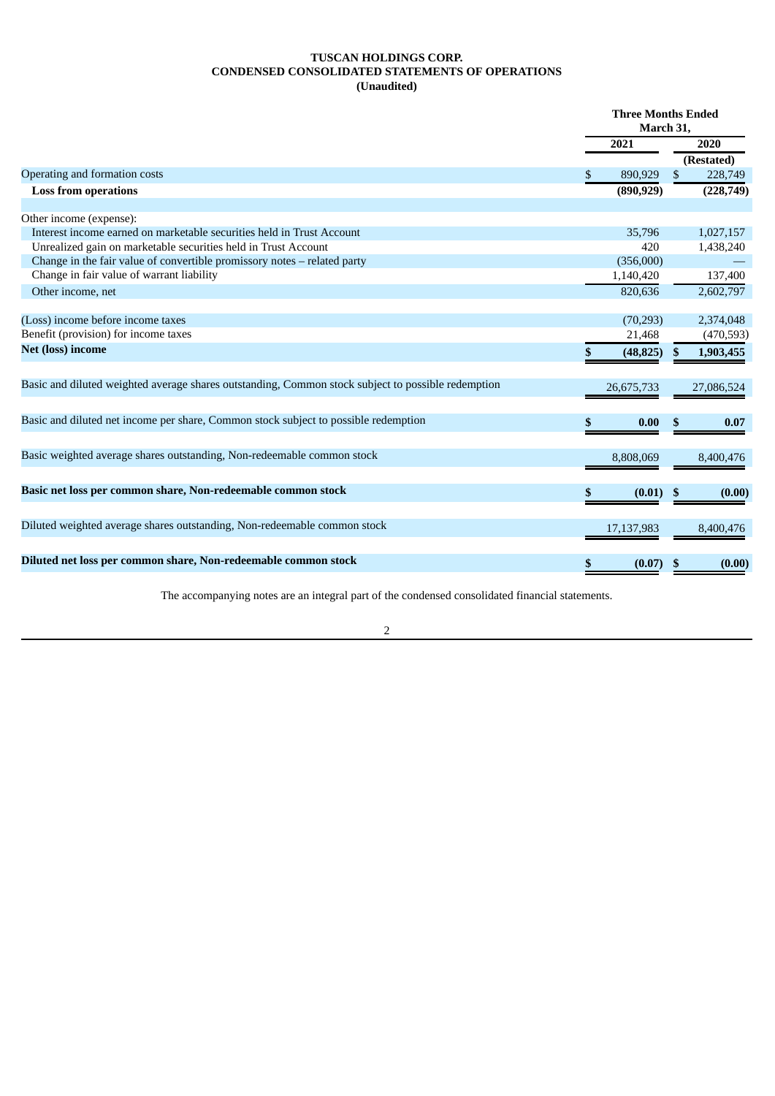## **TUSCAN HOLDINGS CORP. CONDENSED CONSOLIDATED STATEMENTS OF OPERATIONS (Unaudited)**

<span id="page-3-0"></span>

|                                                                                                    | <b>Three Months Ended</b><br>March 31, |            |    |            |
|----------------------------------------------------------------------------------------------------|----------------------------------------|------------|----|------------|
|                                                                                                    |                                        | 2021       |    | 2020       |
|                                                                                                    |                                        |            |    | (Restated) |
| Operating and formation costs                                                                      | \$                                     | 890,929    | \$ | 228,749    |
| <b>Loss from operations</b>                                                                        |                                        | (890, 929) |    | (228,749)  |
|                                                                                                    |                                        |            |    |            |
| Other income (expense):                                                                            |                                        |            |    |            |
| Interest income earned on marketable securities held in Trust Account                              |                                        | 35,796     |    | 1,027,157  |
| Unrealized gain on marketable securities held in Trust Account                                     |                                        | 420        |    | 1,438,240  |
| Change in the fair value of convertible promissory notes - related party                           |                                        | (356,000)  |    |            |
| Change in fair value of warrant liability                                                          |                                        | 1,140,420  |    | 137,400    |
| Other income, net                                                                                  |                                        | 820,636    |    | 2,602,797  |
| (Loss) income before income taxes                                                                  |                                        | (70, 293)  |    | 2,374,048  |
| Benefit (provision) for income taxes                                                               |                                        | 21,468     |    | (470,593)  |
| <b>Net (loss) income</b>                                                                           | \$                                     | (48, 825)  | \$ | 1,903,455  |
|                                                                                                    |                                        |            |    |            |
| Basic and diluted weighted average shares outstanding, Common stock subject to possible redemption |                                        | 26,675,733 |    | 27,086,524 |
|                                                                                                    |                                        |            |    |            |
| Basic and diluted net income per share, Common stock subject to possible redemption                | \$                                     | 0.00       | \$ | 0.07       |
| Basic weighted average shares outstanding, Non-redeemable common stock                             |                                        | 8,808,069  |    | 8,400,476  |
|                                                                                                    |                                        |            |    |            |
| Basic net loss per common share, Non-redeemable common stock                                       | \$                                     | (0.01)     | \$ | (0.00)     |
| Diluted weighted average shares outstanding, Non-redeemable common stock                           |                                        |            |    |            |
|                                                                                                    |                                        | 17,137,983 |    | 8,400,476  |
| Diluted net loss per common share, Non-redeemable common stock                                     | \$                                     | (0.07)     | S  | (0.00)     |

The accompanying notes are an integral part of the condensed consolidated financial statements.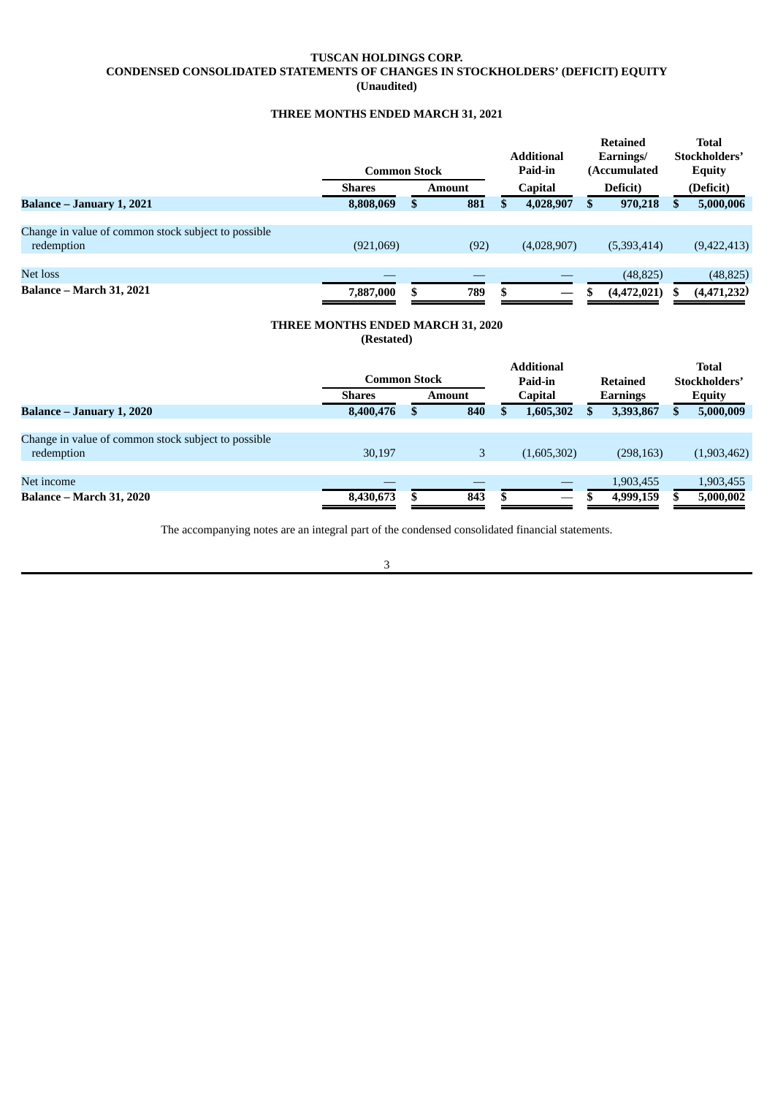# **TUSCAN HOLDINGS CORP. CONDENSED CONSOLIDATED STATEMENTS OF CHANGES IN STOCKHOLDERS' (DEFICIT) EQUITY (Unaudited)**

# **THREE MONTHS ENDED MARCH 31, 2021**

<span id="page-4-0"></span>

|                                                     | <b>Common Stock</b> |     |               | <b>Additional</b><br>Paid-in | <b>Retained</b><br>Earnings/<br>(Accumulated | <b>Total</b><br>Stockholders'<br><b>Equity</b> |
|-----------------------------------------------------|---------------------|-----|---------------|------------------------------|----------------------------------------------|------------------------------------------------|
|                                                     | <b>Shares</b>       |     | <b>Amount</b> | Capital                      | Deficit)                                     | (Deficit)                                      |
| Balance – January 1, 2021                           | 8,808,069           | \$. | 881           | 4,028,907                    | 970,218                                      | 5,000,006                                      |
|                                                     |                     |     |               |                              |                                              |                                                |
| Change in value of common stock subject to possible |                     |     |               |                              |                                              |                                                |
| redemption                                          | (921,069)           |     | (92)          | (4,028,907)                  | (5,393,414)                                  | (9,422,413)                                    |
|                                                     |                     |     |               |                              |                                              |                                                |
| Net loss                                            |                     |     |               |                              | (48, 825)                                    | (48, 825)                                      |
| <b>Balance – March 31, 2021</b>                     | 7,887,000           | \$  | 789           |                              | (4,472,021)                                  | (4,471,232)                                    |

# **THREE MONTHS ENDED MARCH 31, 2020 (Restated)**

|                                                     | <b>Common Stock</b> |           | <b>Additional</b><br>Paid-in  |   | <b>Retained</b> | <b>Total</b><br>Stockholders' |
|-----------------------------------------------------|---------------------|-----------|-------------------------------|---|-----------------|-------------------------------|
|                                                     | <b>Shares</b>       | Amount    | <b>Capital</b>                |   | Earnings        | <b>Equity</b>                 |
| Balance – January 1, 2020                           | 8,400,476           | \$<br>840 | 1,605,302                     | S | 3,393,867       | 5,000,009                     |
|                                                     |                     |           |                               |   |                 |                               |
| Change in value of common stock subject to possible |                     |           |                               |   |                 |                               |
| redemption                                          | 30,197              | 3         | (1,605,302)                   |   | (298, 163)      | (1,903,462)                   |
|                                                     |                     |           |                               |   |                 |                               |
| Net income                                          |                     |           |                               |   | 1,903,455       | 1,903,455                     |
| <b>Balance – March 31, 2020</b>                     | 8,430,673           | 843       | $\overbrace{\phantom{12333}}$ |   | 4,999,159       | 5,000,002                     |

The accompanying notes are an integral part of the condensed consolidated financial statements.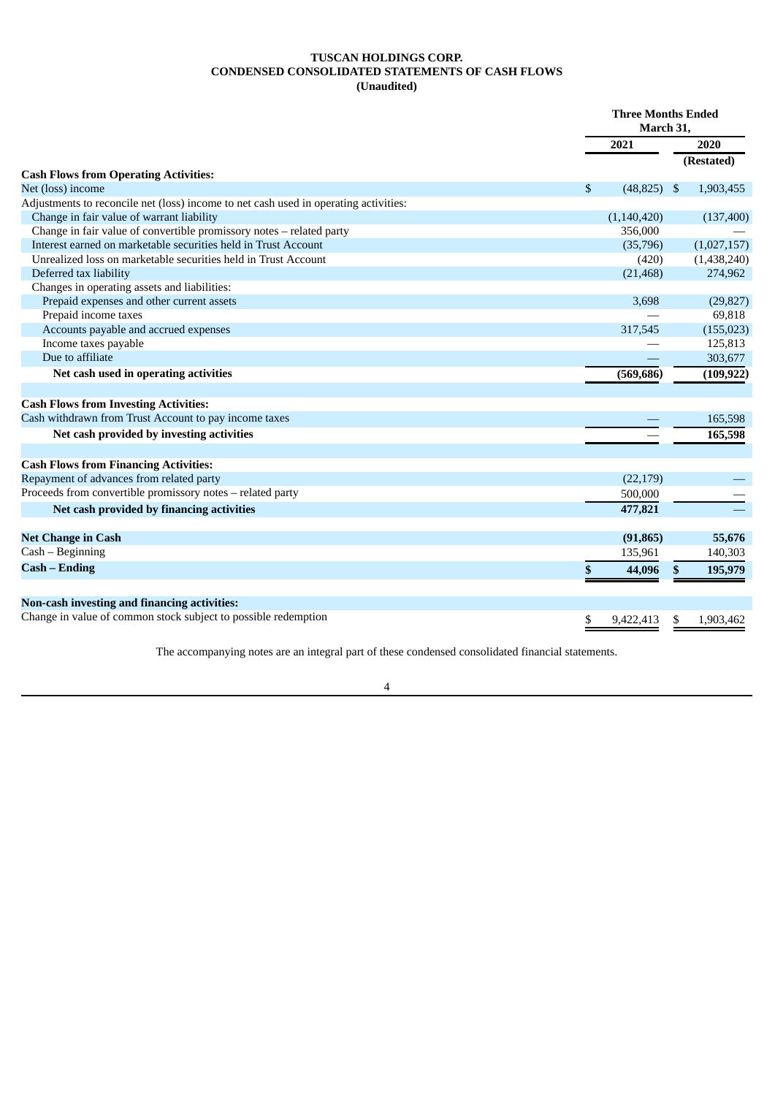## **TUSCAN HOLDINGS CORP. CONDENSED CONSOLIDATED STATEMENTS OF CASH FLOWS (Unaudited)**

<span id="page-5-0"></span>

|                                                                                      | March 31,       | <b>Three Months Ended</b> |
|--------------------------------------------------------------------------------------|-----------------|---------------------------|
|                                                                                      | 2021            | 2020                      |
|                                                                                      |                 | (Restated)                |
| <b>Cash Flows from Operating Activities:</b>                                         |                 |                           |
| Net (loss) income                                                                    | \$<br>(48, 825) | 1,903,455<br>\$           |
| Adjustments to reconcile net (loss) income to net cash used in operating activities: |                 |                           |
| Change in fair value of warrant liability                                            | (1,140,420)     | (137, 400)                |
| Change in fair value of convertible promissory notes - related party                 | 356,000         |                           |
| Interest earned on marketable securities held in Trust Account                       | (35,796)        | (1,027,157)               |
| Unrealized loss on marketable securities held in Trust Account                       | (420)           | (1,438,240)               |
| Deferred tax liability                                                               | (21, 468)       | 274,962                   |
| Changes in operating assets and liabilities:                                         |                 |                           |
| Prepaid expenses and other current assets                                            | 3,698           | (29, 827)                 |
| Prepaid income taxes                                                                 |                 | 69,818                    |
| Accounts payable and accrued expenses                                                | 317,545         | (155, 023)                |
| Income taxes payable                                                                 |                 | 125,813                   |
| Due to affiliate                                                                     |                 | 303,677                   |
| Net cash used in operating activities                                                | (569, 686)      | (109, 922)                |
| <b>Cash Flows from Investing Activities:</b>                                         |                 |                           |
| Cash withdrawn from Trust Account to pay income taxes                                |                 | 165,598                   |
| Net cash provided by investing activities                                            |                 | 165,598                   |
| <b>Cash Flows from Financing Activities:</b>                                         |                 |                           |
| Repayment of advances from related party                                             | (22, 179)       |                           |
| Proceeds from convertible promissory notes - related party                           | 500,000         |                           |
| Net cash provided by financing activities                                            | 477,821         |                           |
|                                                                                      |                 |                           |
| <b>Net Change in Cash</b>                                                            | (91, 865)       | 55,676                    |
| $Cash - Beginning$                                                                   | 135,961         | 140,303                   |
| <b>Cash - Ending</b>                                                                 | \$<br>44,096    | \$<br>195,979             |
|                                                                                      |                 |                           |
| Non-cash investing and financing activities:                                         |                 |                           |
| Change in value of common stock subject to possible redemption                       | \$<br>9,422,413 | 1,903,462<br>\$           |

The accompanying notes are an integral part of these condensed consolidated financial statements.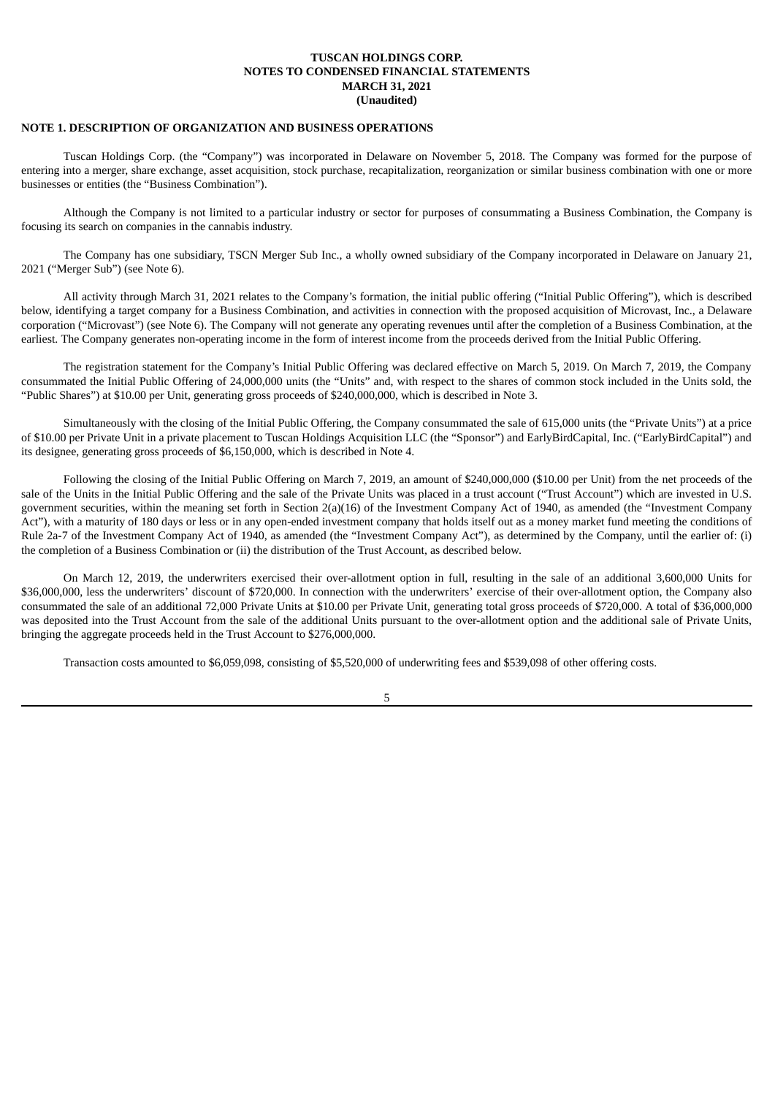#### <span id="page-6-0"></span>**NOTE 1. DESCRIPTION OF ORGANIZATION AND BUSINESS OPERATIONS**

Tuscan Holdings Corp. (the "Company") was incorporated in Delaware on November 5, 2018. The Company was formed for the purpose of entering into a merger, share exchange, asset acquisition, stock purchase, recapitalization, reorganization or similar business combination with one or more businesses or entities (the "Business Combination").

Although the Company is not limited to a particular industry or sector for purposes of consummating a Business Combination, the Company is focusing its search on companies in the cannabis industry.

The Company has one subsidiary, TSCN Merger Sub Inc., a wholly owned subsidiary of the Company incorporated in Delaware on January 21, 2021 ("Merger Sub") (see Note 6).

All activity through March 31, 2021 relates to the Company's formation, the initial public offering ("Initial Public Offering"), which is described below, identifying a target company for a Business Combination, and activities in connection with the proposed acquisition of Microvast, Inc., a Delaware corporation ("Microvast") (see Note 6). The Company will not generate any operating revenues until after the completion of a Business Combination, at the earliest. The Company generates non-operating income in the form of interest income from the proceeds derived from the Initial Public Offering.

The registration statement for the Company's Initial Public Offering was declared effective on March 5, 2019. On March 7, 2019, the Company consummated the Initial Public Offering of 24,000,000 units (the "Units" and, with respect to the shares of common stock included in the Units sold, the "Public Shares") at \$10.00 per Unit, generating gross proceeds of \$240,000,000, which is described in Note 3.

Simultaneously with the closing of the Initial Public Offering, the Company consummated the sale of 615,000 units (the "Private Units") at a price of \$10.00 per Private Unit in a private placement to Tuscan Holdings Acquisition LLC (the "Sponsor") and EarlyBirdCapital, Inc. ("EarlyBirdCapital") and its designee, generating gross proceeds of \$6,150,000, which is described in Note 4.

Following the closing of the Initial Public Offering on March 7, 2019, an amount of \$240,000,000 (\$10.00 per Unit) from the net proceeds of the sale of the Units in the Initial Public Offering and the sale of the Private Units was placed in a trust account ("Trust Account") which are invested in U.S. government securities, within the meaning set forth in Section 2(a)(16) of the Investment Company Act of 1940, as amended (the "Investment Company Act"), with a maturity of 180 days or less or in any open-ended investment company that holds itself out as a money market fund meeting the conditions of Rule 2a-7 of the Investment Company Act of 1940, as amended (the "Investment Company Act"), as determined by the Company, until the earlier of: (i) the completion of a Business Combination or (ii) the distribution of the Trust Account, as described below.

On March 12, 2019, the underwriters exercised their over-allotment option in full, resulting in the sale of an additional 3,600,000 Units for \$36,000,000, less the underwriters' discount of \$720,000. In connection with the underwriters' exercise of their over-allotment option, the Company also consummated the sale of an additional 72,000 Private Units at \$10.00 per Private Unit, generating total gross proceeds of \$720,000. A total of \$36,000,000 was deposited into the Trust Account from the sale of the additional Units pursuant to the over-allotment option and the additional sale of Private Units, bringing the aggregate proceeds held in the Trust Account to \$276,000,000.

Transaction costs amounted to \$6,059,098, consisting of \$5,520,000 of underwriting fees and \$539,098 of other offering costs.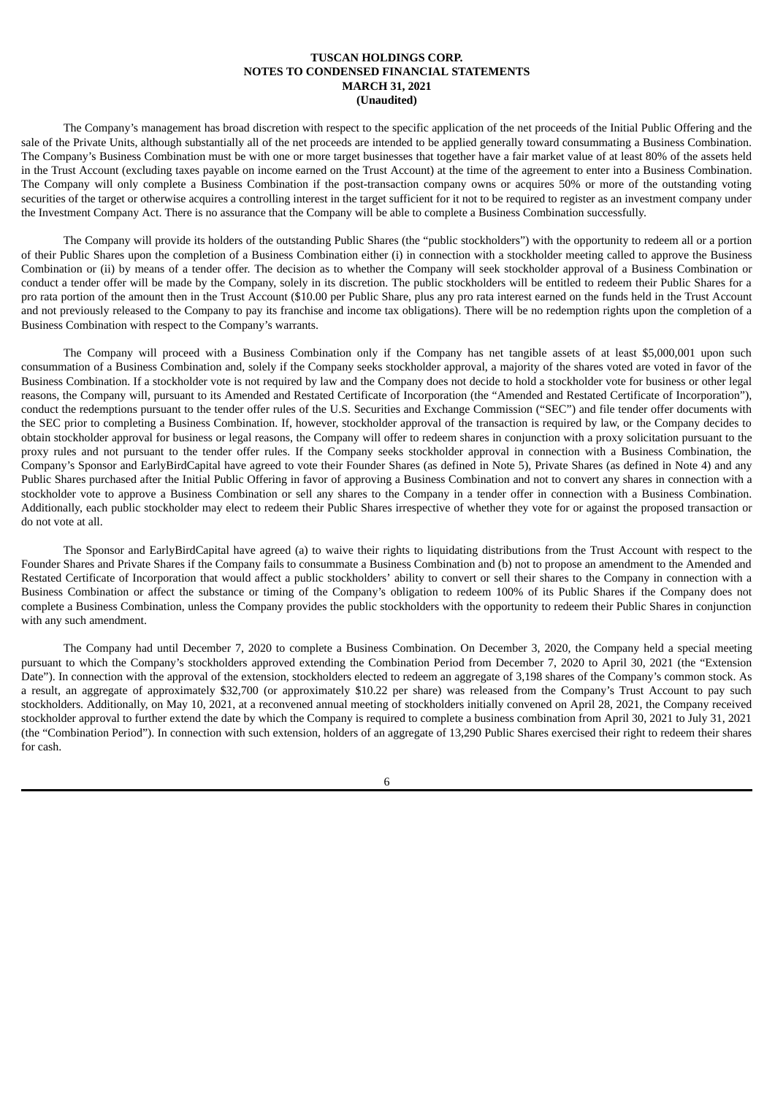The Company's management has broad discretion with respect to the specific application of the net proceeds of the Initial Public Offering and the sale of the Private Units, although substantially all of the net proceeds are intended to be applied generally toward consummating a Business Combination. The Company's Business Combination must be with one or more target businesses that together have a fair market value of at least 80% of the assets held in the Trust Account (excluding taxes payable on income earned on the Trust Account) at the time of the agreement to enter into a Business Combination. The Company will only complete a Business Combination if the post-transaction company owns or acquires 50% or more of the outstanding voting securities of the target or otherwise acquires a controlling interest in the target sufficient for it not to be required to register as an investment company under the Investment Company Act. There is no assurance that the Company will be able to complete a Business Combination successfully.

The Company will provide its holders of the outstanding Public Shares (the "public stockholders") with the opportunity to redeem all or a portion of their Public Shares upon the completion of a Business Combination either (i) in connection with a stockholder meeting called to approve the Business Combination or (ii) by means of a tender offer. The decision as to whether the Company will seek stockholder approval of a Business Combination or conduct a tender offer will be made by the Company, solely in its discretion. The public stockholders will be entitled to redeem their Public Shares for a pro rata portion of the amount then in the Trust Account (\$10.00 per Public Share, plus any pro rata interest earned on the funds held in the Trust Account and not previously released to the Company to pay its franchise and income tax obligations). There will be no redemption rights upon the completion of a Business Combination with respect to the Company's warrants.

The Company will proceed with a Business Combination only if the Company has net tangible assets of at least \$5,000,001 upon such consummation of a Business Combination and, solely if the Company seeks stockholder approval, a majority of the shares voted are voted in favor of the Business Combination. If a stockholder vote is not required by law and the Company does not decide to hold a stockholder vote for business or other legal reasons, the Company will, pursuant to its Amended and Restated Certificate of Incorporation (the "Amended and Restated Certificate of Incorporation"), conduct the redemptions pursuant to the tender offer rules of the U.S. Securities and Exchange Commission ("SEC") and file tender offer documents with the SEC prior to completing a Business Combination. If, however, stockholder approval of the transaction is required by law, or the Company decides to obtain stockholder approval for business or legal reasons, the Company will offer to redeem shares in conjunction with a proxy solicitation pursuant to the proxy rules and not pursuant to the tender offer rules. If the Company seeks stockholder approval in connection with a Business Combination, the Company's Sponsor and EarlyBirdCapital have agreed to vote their Founder Shares (as defined in Note 5), Private Shares (as defined in Note 4) and any Public Shares purchased after the Initial Public Offering in favor of approving a Business Combination and not to convert any shares in connection with a stockholder vote to approve a Business Combination or sell any shares to the Company in a tender offer in connection with a Business Combination. Additionally, each public stockholder may elect to redeem their Public Shares irrespective of whether they vote for or against the proposed transaction or do not vote at all.

The Sponsor and EarlyBirdCapital have agreed (a) to waive their rights to liquidating distributions from the Trust Account with respect to the Founder Shares and Private Shares if the Company fails to consummate a Business Combination and (b) not to propose an amendment to the Amended and Restated Certificate of Incorporation that would affect a public stockholders' ability to convert or sell their shares to the Company in connection with a Business Combination or affect the substance or timing of the Company's obligation to redeem 100% of its Public Shares if the Company does not complete a Business Combination, unless the Company provides the public stockholders with the opportunity to redeem their Public Shares in conjunction with any such amendment.

The Company had until December 7, 2020 to complete a Business Combination. On December 3, 2020, the Company held a special meeting pursuant to which the Company's stockholders approved extending the Combination Period from December 7, 2020 to April 30, 2021 (the "Extension Date"). In connection with the approval of the extension, stockholders elected to redeem an aggregate of 3,198 shares of the Company's common stock. As a result, an aggregate of approximately \$32,700 (or approximately \$10.22 per share) was released from the Company's Trust Account to pay such stockholders. Additionally, on May 10, 2021, at a reconvened annual meeting of stockholders initially convened on April 28, 2021, the Company received stockholder approval to further extend the date by which the Company is required to complete a business combination from April 30, 2021 to July 31, 2021 (the "Combination Period"). In connection with such extension, holders of an aggregate of 13,290 Public Shares exercised their right to redeem their shares for cash.

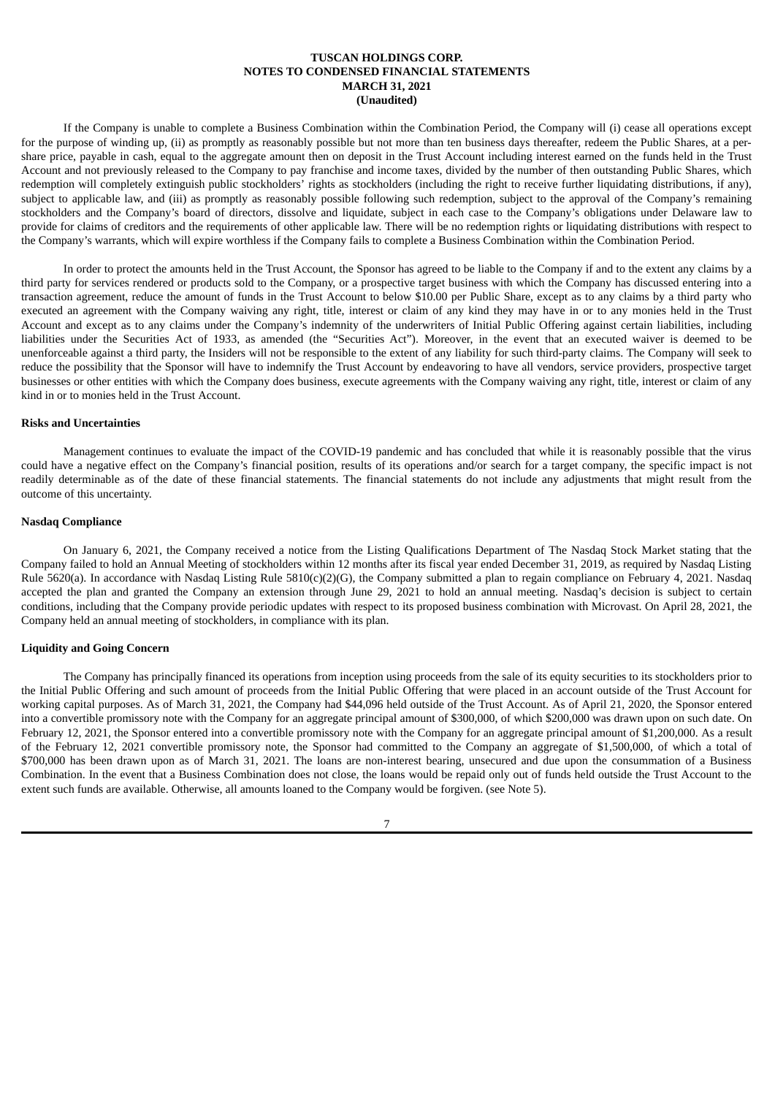If the Company is unable to complete a Business Combination within the Combination Period, the Company will (i) cease all operations except for the purpose of winding up, (ii) as promptly as reasonably possible but not more than ten business days thereafter, redeem the Public Shares, at a pershare price, payable in cash, equal to the aggregate amount then on deposit in the Trust Account including interest earned on the funds held in the Trust Account and not previously released to the Company to pay franchise and income taxes, divided by the number of then outstanding Public Shares, which redemption will completely extinguish public stockholders' rights as stockholders (including the right to receive further liquidating distributions, if any), subject to applicable law, and (iii) as promptly as reasonably possible following such redemption, subject to the approval of the Company's remaining stockholders and the Company's board of directors, dissolve and liquidate, subject in each case to the Company's obligations under Delaware law to provide for claims of creditors and the requirements of other applicable law. There will be no redemption rights or liquidating distributions with respect to the Company's warrants, which will expire worthless if the Company fails to complete a Business Combination within the Combination Period.

In order to protect the amounts held in the Trust Account, the Sponsor has agreed to be liable to the Company if and to the extent any claims by a third party for services rendered or products sold to the Company, or a prospective target business with which the Company has discussed entering into a transaction agreement, reduce the amount of funds in the Trust Account to below \$10.00 per Public Share, except as to any claims by a third party who executed an agreement with the Company waiving any right, title, interest or claim of any kind they may have in or to any monies held in the Trust Account and except as to any claims under the Company's indemnity of the underwriters of Initial Public Offering against certain liabilities, including liabilities under the Securities Act of 1933, as amended (the "Securities Act"). Moreover, in the event that an executed waiver is deemed to be unenforceable against a third party, the Insiders will not be responsible to the extent of any liability for such third-party claims. The Company will seek to reduce the possibility that the Sponsor will have to indemnify the Trust Account by endeavoring to have all vendors, service providers, prospective target businesses or other entities with which the Company does business, execute agreements with the Company waiving any right, title, interest or claim of any kind in or to monies held in the Trust Account.

#### **Risks and Uncertainties**

Management continues to evaluate the impact of the COVID-19 pandemic and has concluded that while it is reasonably possible that the virus could have a negative effect on the Company's financial position, results of its operations and/or search for a target company, the specific impact is not readily determinable as of the date of these financial statements. The financial statements do not include any adjustments that might result from the outcome of this uncertainty.

#### **Nasdaq Compliance**

On January 6, 2021, the Company received a notice from the Listing Qualifications Department of The Nasdaq Stock Market stating that the Company failed to hold an Annual Meeting of stockholders within 12 months after its fiscal year ended December 31, 2019, as required by Nasdaq Listing Rule 5620(a). In accordance with Nasdaq Listing Rule 5810(c)(2)(G), the Company submitted a plan to regain compliance on February 4, 2021. Nasdaq accepted the plan and granted the Company an extension through June 29, 2021 to hold an annual meeting. Nasdaq's decision is subject to certain conditions, including that the Company provide periodic updates with respect to its proposed business combination with Microvast. On April 28, 2021, the Company held an annual meeting of stockholders, in compliance with its plan.

## **Liquidity and Going Concern**

The Company has principally financed its operations from inception using proceeds from the sale of its equity securities to its stockholders prior to the Initial Public Offering and such amount of proceeds from the Initial Public Offering that were placed in an account outside of the Trust Account for working capital purposes. As of March 31, 2021, the Company had \$44,096 held outside of the Trust Account. As of April 21, 2020, the Sponsor entered into a convertible promissory note with the Company for an aggregate principal amount of \$300,000, of which \$200,000 was drawn upon on such date. On February 12, 2021, the Sponsor entered into a convertible promissory note with the Company for an aggregate principal amount of \$1,200,000. As a result of the February 12, 2021 convertible promissory note, the Sponsor had committed to the Company an aggregate of \$1,500,000, of which a total of \$700,000 has been drawn upon as of March 31, 2021. The loans are non-interest bearing, unsecured and due upon the consummation of a Business Combination. In the event that a Business Combination does not close, the loans would be repaid only out of funds held outside the Trust Account to the extent such funds are available. Otherwise, all amounts loaned to the Company would be forgiven. (see Note 5).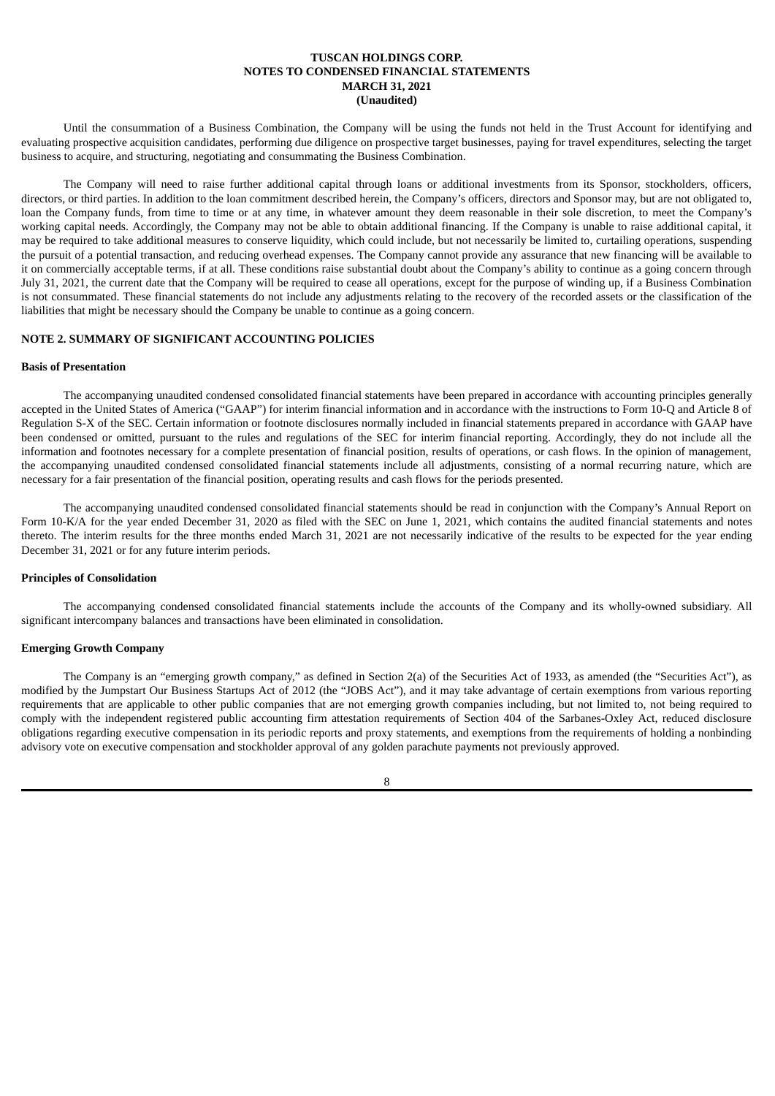Until the consummation of a Business Combination, the Company will be using the funds not held in the Trust Account for identifying and evaluating prospective acquisition candidates, performing due diligence on prospective target businesses, paying for travel expenditures, selecting the target business to acquire, and structuring, negotiating and consummating the Business Combination.

The Company will need to raise further additional capital through loans or additional investments from its Sponsor, stockholders, officers, directors, or third parties. In addition to the loan commitment described herein, the Company's officers, directors and Sponsor may, but are not obligated to, loan the Company funds, from time to time or at any time, in whatever amount they deem reasonable in their sole discretion, to meet the Company's working capital needs. Accordingly, the Company may not be able to obtain additional financing. If the Company is unable to raise additional capital, it may be required to take additional measures to conserve liquidity, which could include, but not necessarily be limited to, curtailing operations, suspending the pursuit of a potential transaction, and reducing overhead expenses. The Company cannot provide any assurance that new financing will be available to it on commercially acceptable terms, if at all. These conditions raise substantial doubt about the Company's ability to continue as a going concern through July 31, 2021, the current date that the Company will be required to cease all operations, except for the purpose of winding up, if a Business Combination is not consummated. These financial statements do not include any adjustments relating to the recovery of the recorded assets or the classification of the liabilities that might be necessary should the Company be unable to continue as a going concern.

## **NOTE 2. SUMMARY OF SIGNIFICANT ACCOUNTING POLICIES**

#### **Basis of Presentation**

The accompanying unaudited condensed consolidated financial statements have been prepared in accordance with accounting principles generally accepted in the United States of America ("GAAP") for interim financial information and in accordance with the instructions to Form 10-Q and Article 8 of Regulation S-X of the SEC. Certain information or footnote disclosures normally included in financial statements prepared in accordance with GAAP have been condensed or omitted, pursuant to the rules and regulations of the SEC for interim financial reporting. Accordingly, they do not include all the information and footnotes necessary for a complete presentation of financial position, results of operations, or cash flows. In the opinion of management, the accompanying unaudited condensed consolidated financial statements include all adjustments, consisting of a normal recurring nature, which are necessary for a fair presentation of the financial position, operating results and cash flows for the periods presented.

The accompanying unaudited condensed consolidated financial statements should be read in conjunction with the Company's Annual Report on Form 10-K/A for the year ended December 31, 2020 as filed with the SEC on June 1, 2021, which contains the audited financial statements and notes thereto. The interim results for the three months ended March 31, 2021 are not necessarily indicative of the results to be expected for the year ending December 31, 2021 or for any future interim periods.

## **Principles of Consolidation**

The accompanying condensed consolidated financial statements include the accounts of the Company and its wholly-owned subsidiary. All significant intercompany balances and transactions have been eliminated in consolidation.

#### **Emerging Growth Company**

The Company is an "emerging growth company," as defined in Section 2(a) of the Securities Act of 1933, as amended (the "Securities Act"), as modified by the Jumpstart Our Business Startups Act of 2012 (the "JOBS Act"), and it may take advantage of certain exemptions from various reporting requirements that are applicable to other public companies that are not emerging growth companies including, but not limited to, not being required to comply with the independent registered public accounting firm attestation requirements of Section 404 of the Sarbanes-Oxley Act, reduced disclosure obligations regarding executive compensation in its periodic reports and proxy statements, and exemptions from the requirements of holding a nonbinding advisory vote on executive compensation and stockholder approval of any golden parachute payments not previously approved.

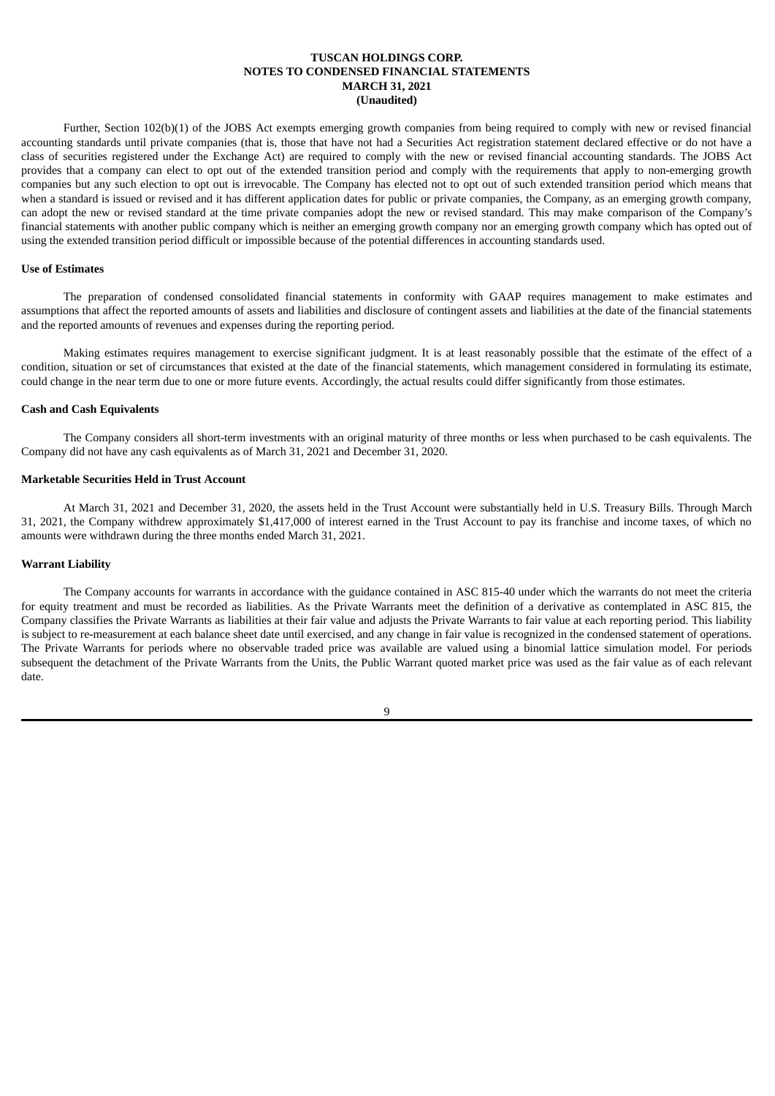Further, Section 102(b)(1) of the JOBS Act exempts emerging growth companies from being required to comply with new or revised financial accounting standards until private companies (that is, those that have not had a Securities Act registration statement declared effective or do not have a class of securities registered under the Exchange Act) are required to comply with the new or revised financial accounting standards. The JOBS Act provides that a company can elect to opt out of the extended transition period and comply with the requirements that apply to non-emerging growth companies but any such election to opt out is irrevocable. The Company has elected not to opt out of such extended transition period which means that when a standard is issued or revised and it has different application dates for public or private companies, the Company, as an emerging growth company, can adopt the new or revised standard at the time private companies adopt the new or revised standard. This may make comparison of the Company's financial statements with another public company which is neither an emerging growth company nor an emerging growth company which has opted out of using the extended transition period difficult or impossible because of the potential differences in accounting standards used.

#### **Use of Estimates**

The preparation of condensed consolidated financial statements in conformity with GAAP requires management to make estimates and assumptions that affect the reported amounts of assets and liabilities and disclosure of contingent assets and liabilities at the date of the financial statements and the reported amounts of revenues and expenses during the reporting period.

Making estimates requires management to exercise significant judgment. It is at least reasonably possible that the estimate of the effect of a condition, situation or set of circumstances that existed at the date of the financial statements, which management considered in formulating its estimate, could change in the near term due to one or more future events. Accordingly, the actual results could differ significantly from those estimates.

#### **Cash and Cash Equivalents**

The Company considers all short-term investments with an original maturity of three months or less when purchased to be cash equivalents. The Company did not have any cash equivalents as of March 31, 2021 and December 31, 2020.

## **Marketable Securities Held in Trust Account**

At March 31, 2021 and December 31, 2020, the assets held in the Trust Account were substantially held in U.S. Treasury Bills. Through March 31, 2021, the Company withdrew approximately \$1,417,000 of interest earned in the Trust Account to pay its franchise and income taxes, of which no amounts were withdrawn during the three months ended March 31, 2021.

#### **Warrant Liability**

The Company accounts for warrants in accordance with the guidance contained in ASC 815-40 under which the warrants do not meet the criteria for equity treatment and must be recorded as liabilities. As the Private Warrants meet the definition of a derivative as contemplated in ASC 815, the Company classifies the Private Warrants as liabilities at their fair value and adjusts the Private Warrants to fair value at each reporting period. This liability is subject to re-measurement at each balance sheet date until exercised, and any change in fair value is recognized in the condensed statement of operations. The Private Warrants for periods where no observable traded price was available are valued using a binomial lattice simulation model. For periods subsequent the detachment of the Private Warrants from the Units, the Public Warrant quoted market price was used as the fair value as of each relevant date.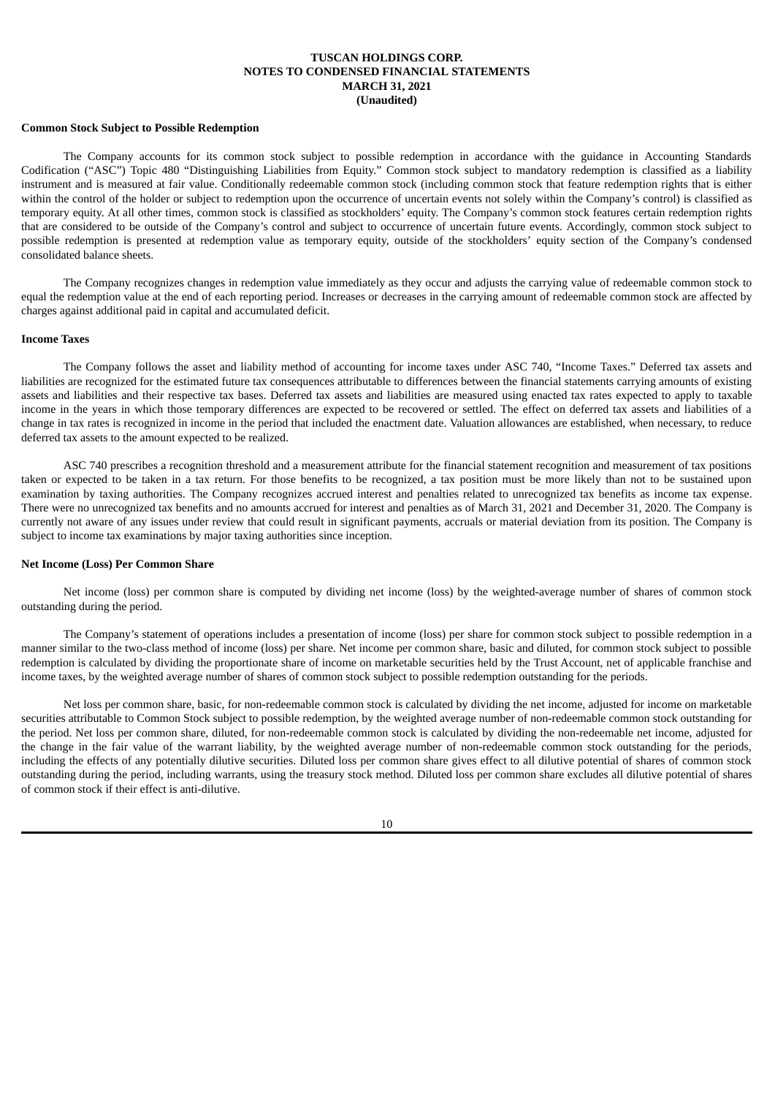#### **Common Stock Subject to Possible Redemption**

The Company accounts for its common stock subject to possible redemption in accordance with the guidance in Accounting Standards Codification ("ASC") Topic 480 "Distinguishing Liabilities from Equity." Common stock subject to mandatory redemption is classified as a liability instrument and is measured at fair value. Conditionally redeemable common stock (including common stock that feature redemption rights that is either within the control of the holder or subject to redemption upon the occurrence of uncertain events not solely within the Company's control) is classified as temporary equity. At all other times, common stock is classified as stockholders' equity. The Company's common stock features certain redemption rights that are considered to be outside of the Company's control and subject to occurrence of uncertain future events. Accordingly, common stock subject to possible redemption is presented at redemption value as temporary equity, outside of the stockholders' equity section of the Company's condensed consolidated balance sheets.

The Company recognizes changes in redemption value immediately as they occur and adjusts the carrying value of redeemable common stock to equal the redemption value at the end of each reporting period. Increases or decreases in the carrying amount of redeemable common stock are affected by charges against additional paid in capital and accumulated deficit.

#### **Income Taxes**

The Company follows the asset and liability method of accounting for income taxes under ASC 740, "Income Taxes." Deferred tax assets and liabilities are recognized for the estimated future tax consequences attributable to differences between the financial statements carrying amounts of existing assets and liabilities and their respective tax bases. Deferred tax assets and liabilities are measured using enacted tax rates expected to apply to taxable income in the years in which those temporary differences are expected to be recovered or settled. The effect on deferred tax assets and liabilities of a change in tax rates is recognized in income in the period that included the enactment date. Valuation allowances are established, when necessary, to reduce deferred tax assets to the amount expected to be realized.

ASC 740 prescribes a recognition threshold and a measurement attribute for the financial statement recognition and measurement of tax positions taken or expected to be taken in a tax return. For those benefits to be recognized, a tax position must be more likely than not to be sustained upon examination by taxing authorities. The Company recognizes accrued interest and penalties related to unrecognized tax benefits as income tax expense. There were no unrecognized tax benefits and no amounts accrued for interest and penalties as of March 31, 2021 and December 31, 2020. The Company is currently not aware of any issues under review that could result in significant payments, accruals or material deviation from its position. The Company is subject to income tax examinations by major taxing authorities since inception.

#### **Net Income (Loss) Per Common Share**

Net income (loss) per common share is computed by dividing net income (loss) by the weighted-average number of shares of common stock outstanding during the period.

The Company's statement of operations includes a presentation of income (loss) per share for common stock subject to possible redemption in a manner similar to the two-class method of income (loss) per share. Net income per common share, basic and diluted, for common stock subject to possible redemption is calculated by dividing the proportionate share of income on marketable securities held by the Trust Account, net of applicable franchise and income taxes, by the weighted average number of shares of common stock subject to possible redemption outstanding for the periods.

Net loss per common share, basic, for non-redeemable common stock is calculated by dividing the net income, adjusted for income on marketable securities attributable to Common Stock subject to possible redemption, by the weighted average number of non-redeemable common stock outstanding for the period. Net loss per common share, diluted, for non-redeemable common stock is calculated by dividing the non-redeemable net income, adjusted for the change in the fair value of the warrant liability, by the weighted average number of non-redeemable common stock outstanding for the periods, including the effects of any potentially dilutive securities. Diluted loss per common share gives effect to all dilutive potential of shares of common stock outstanding during the period, including warrants, using the treasury stock method. Diluted loss per common share excludes all dilutive potential of shares of common stock if their effect is anti-dilutive.

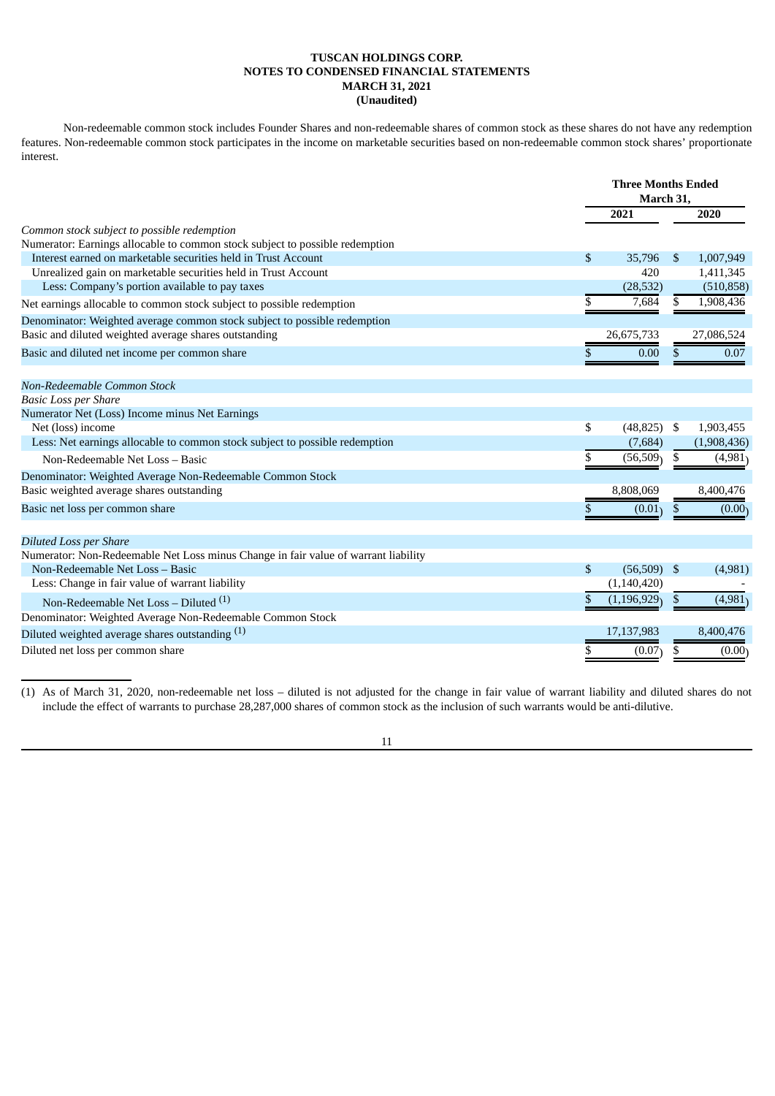Non-redeemable common stock includes Founder Shares and non-redeemable shares of common stock as these shares do not have any redemption features. Non-redeemable common stock participates in the income on marketable securities based on non-redeemable common stock shares' proportionate interest.

|                                                                                    |              | <b>Three Months Ended</b><br>March 31, |      |             |
|------------------------------------------------------------------------------------|--------------|----------------------------------------|------|-------------|
|                                                                                    |              | 2021                                   |      | 2020        |
| Common stock subject to possible redemption                                        |              |                                        |      |             |
| Numerator: Earnings allocable to common stock subject to possible redemption       |              |                                        |      |             |
| Interest earned on marketable securities held in Trust Account                     | $\mathbb{S}$ | 35,796                                 | \$   | 1,007,949   |
| Unrealized gain on marketable securities held in Trust Account                     |              | 420                                    |      | 1,411,345   |
| Less: Company's portion available to pay taxes                                     |              | (28, 532)                              |      | (510, 858)  |
| Net earnings allocable to common stock subject to possible redemption              |              | 7,684                                  | \$   | 1,908,436   |
| Denominator: Weighted average common stock subject to possible redemption          |              |                                        |      |             |
| Basic and diluted weighted average shares outstanding                              |              | 26,675,733                             |      | 27,086,524  |
| Basic and diluted net income per common share                                      |              | 0.00                                   |      | 0.07        |
| Non-Redeemable Common Stock                                                        |              |                                        |      |             |
| <b>Basic Loss per Share</b>                                                        |              |                                        |      |             |
| Numerator Net (Loss) Income minus Net Earnings                                     |              |                                        |      |             |
| Net (loss) income                                                                  | \$           | (48, 825)                              | - \$ | 1,903,455   |
| Less: Net earnings allocable to common stock subject to possible redemption        |              | (7,684)                                |      | (1,908,436) |
| Non-Redeemable Net Loss - Basic                                                    |              | (56, 509)                              | \$   | (4,981)     |
| Denominator: Weighted Average Non-Redeemable Common Stock                          |              |                                        |      |             |
| Basic weighted average shares outstanding                                          |              | 8,808,069                              |      | 8,400,476   |
| Basic net loss per common share                                                    |              | (0.01)                                 | -S   | (0.00)      |
| Diluted Loss per Share                                                             |              |                                        |      |             |
| Numerator: Non-Redeemable Net Loss minus Change in fair value of warrant liability |              |                                        |      |             |
| Non-Redeemable Net Loss - Basic                                                    | \$           | (56, 509)                              | \$   | (4,981)     |
| Less: Change in fair value of warrant liability                                    |              | (1, 140, 420)                          |      |             |
| Non-Redeemable Net Loss - Diluted $(1)$                                            | S            | (1, 196, 929)                          | \$   | (4,981)     |
| Denominator: Weighted Average Non-Redeemable Common Stock                          |              |                                        |      |             |
| Diluted weighted average shares outstanding $(1)$                                  |              | 17,137,983                             |      | 8,400,476   |
| Diluted net loss per common share                                                  | \$           | (0.07)                                 | \$   | (0.00)      |

(1) As of March 31, 2020, non-redeemable net loss – diluted is not adjusted for the change in fair value of warrant liability and diluted shares do not include the effect of warrants to purchase 28,287,000 shares of common stock as the inclusion of such warrants would be anti-dilutive.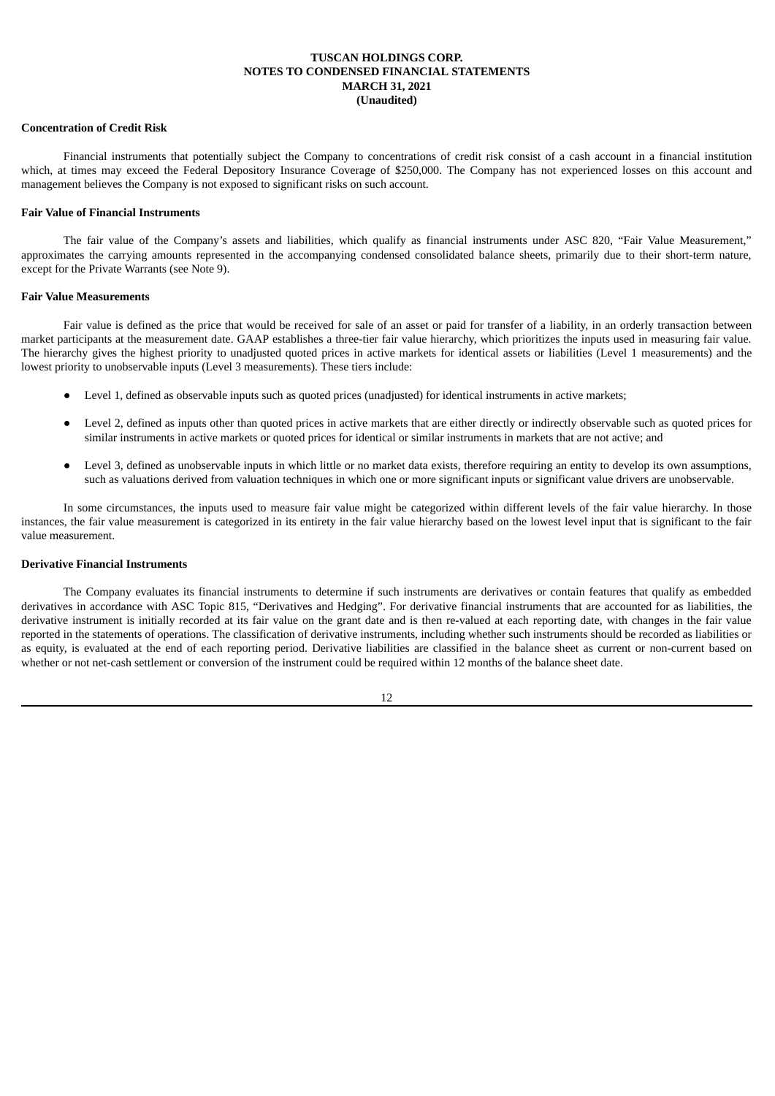#### **Concentration of Credit Risk**

Financial instruments that potentially subject the Company to concentrations of credit risk consist of a cash account in a financial institution which, at times may exceed the Federal Depository Insurance Coverage of \$250,000. The Company has not experienced losses on this account and management believes the Company is not exposed to significant risks on such account.

#### **Fair Value of Financial Instruments**

The fair value of the Company's assets and liabilities, which qualify as financial instruments under ASC 820, "Fair Value Measurement," approximates the carrying amounts represented in the accompanying condensed consolidated balance sheets, primarily due to their short-term nature, except for the Private Warrants (see Note 9).

#### **Fair Value Measurements**

Fair value is defined as the price that would be received for sale of an asset or paid for transfer of a liability, in an orderly transaction between market participants at the measurement date. GAAP establishes a three-tier fair value hierarchy, which prioritizes the inputs used in measuring fair value. The hierarchy gives the highest priority to unadjusted quoted prices in active markets for identical assets or liabilities (Level 1 measurements) and the lowest priority to unobservable inputs (Level 3 measurements). These tiers include:

- Level 1, defined as observable inputs such as quoted prices (unadjusted) for identical instruments in active markets;
- Level 2, defined as inputs other than quoted prices in active markets that are either directly or indirectly observable such as quoted prices for similar instruments in active markets or quoted prices for identical or similar instruments in markets that are not active; and
- Level 3, defined as unobservable inputs in which little or no market data exists, therefore requiring an entity to develop its own assumptions, such as valuations derived from valuation techniques in which one or more significant inputs or significant value drivers are unobservable.

In some circumstances, the inputs used to measure fair value might be categorized within different levels of the fair value hierarchy. In those instances, the fair value measurement is categorized in its entirety in the fair value hierarchy based on the lowest level input that is significant to the fair value measurement.

## **Derivative Financial Instruments**

The Company evaluates its financial instruments to determine if such instruments are derivatives or contain features that qualify as embedded derivatives in accordance with ASC Topic 815, "Derivatives and Hedging". For derivative financial instruments that are accounted for as liabilities, the derivative instrument is initially recorded at its fair value on the grant date and is then re-valued at each reporting date, with changes in the fair value reported in the statements of operations. The classification of derivative instruments, including whether such instruments should be recorded as liabilities or as equity, is evaluated at the end of each reporting period. Derivative liabilities are classified in the balance sheet as current or non-current based on whether or not net-cash settlement or conversion of the instrument could be required within 12 months of the balance sheet date.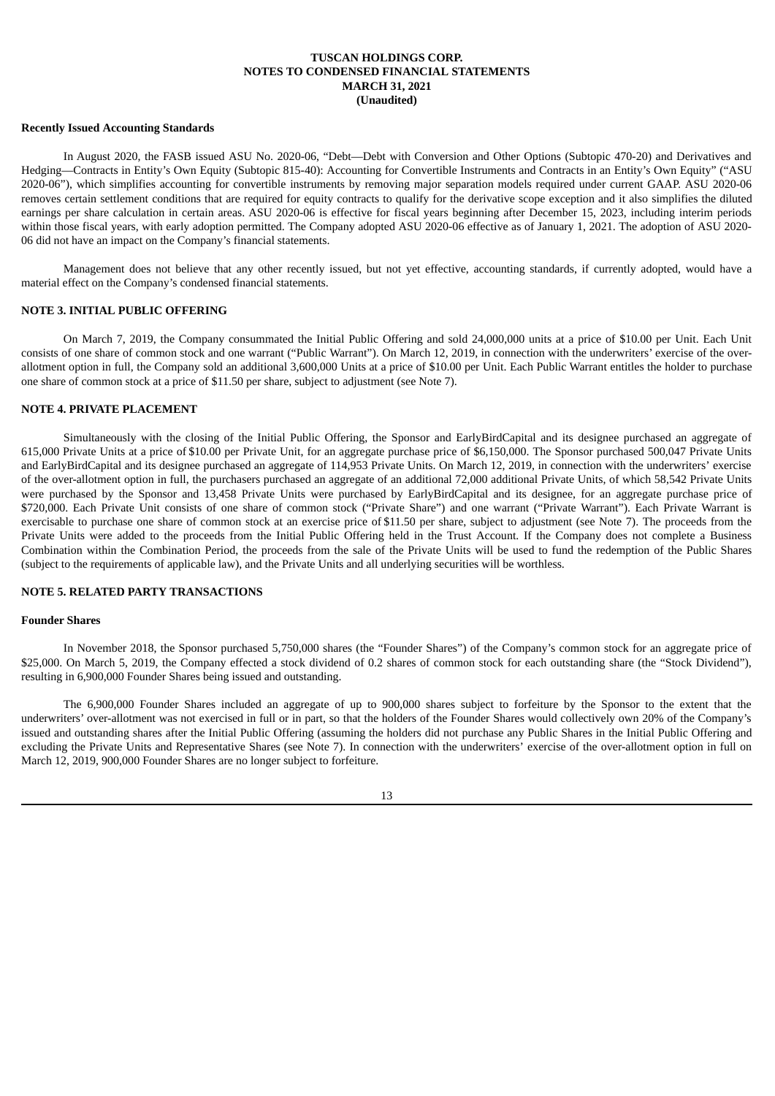#### **Recently Issued Accounting Standards**

In August 2020, the FASB issued ASU No. 2020-06, "Debt—Debt with Conversion and Other Options (Subtopic 470-20) and Derivatives and Hedging—Contracts in Entity's Own Equity (Subtopic 815-40): Accounting for Convertible Instruments and Contracts in an Entity's Own Equity" ("ASU 2020-06"), which simplifies accounting for convertible instruments by removing major separation models required under current GAAP. ASU 2020-06 removes certain settlement conditions that are required for equity contracts to qualify for the derivative scope exception and it also simplifies the diluted earnings per share calculation in certain areas. ASU 2020-06 is effective for fiscal years beginning after December 15, 2023, including interim periods within those fiscal years, with early adoption permitted. The Company adopted ASU 2020-06 effective as of January 1, 2021. The adoption of ASU 2020- 06 did not have an impact on the Company's financial statements.

Management does not believe that any other recently issued, but not yet effective, accounting standards, if currently adopted, would have a material effect on the Company's condensed financial statements.

## **NOTE 3. INITIAL PUBLIC OFFERING**

On March 7, 2019, the Company consummated the Initial Public Offering and sold 24,000,000 units at a price of \$10.00 per Unit. Each Unit consists of one share of common stock and one warrant ("Public Warrant"). On March 12, 2019, in connection with the underwriters' exercise of the overallotment option in full, the Company sold an additional 3,600,000 Units at a price of \$10.00 per Unit. Each Public Warrant entitles the holder to purchase one share of common stock at a price of \$11.50 per share, subject to adjustment (see Note 7).

## **NOTE 4. PRIVATE PLACEMENT**

Simultaneously with the closing of the Initial Public Offering, the Sponsor and EarlyBirdCapital and its designee purchased an aggregate of 615,000 Private Units at a price of \$10.00 per Private Unit, for an aggregate purchase price of \$6,150,000. The Sponsor purchased 500,047 Private Units and EarlyBirdCapital and its designee purchased an aggregate of 114,953 Private Units. On March 12, 2019, in connection with the underwriters' exercise of the over-allotment option in full, the purchasers purchased an aggregate of an additional 72,000 additional Private Units, of which 58,542 Private Units were purchased by the Sponsor and 13,458 Private Units were purchased by EarlyBirdCapital and its designee, for an aggregate purchase price of \$720,000. Each Private Unit consists of one share of common stock ("Private Share") and one warrant ("Private Warrant"). Each Private Warrant is exercisable to purchase one share of common stock at an exercise price of \$11.50 per share, subject to adjustment (see Note 7). The proceeds from the Private Units were added to the proceeds from the Initial Public Offering held in the Trust Account. If the Company does not complete a Business Combination within the Combination Period, the proceeds from the sale of the Private Units will be used to fund the redemption of the Public Shares (subject to the requirements of applicable law), and the Private Units and all underlying securities will be worthless.

# **NOTE 5. RELATED PARTY TRANSACTIONS**

#### **Founder Shares**

In November 2018, the Sponsor purchased 5,750,000 shares (the "Founder Shares") of the Company's common stock for an aggregate price of \$25,000. On March 5, 2019, the Company effected a stock dividend of 0.2 shares of common stock for each outstanding share (the "Stock Dividend"), resulting in 6,900,000 Founder Shares being issued and outstanding.

The 6,900,000 Founder Shares included an aggregate of up to 900,000 shares subject to forfeiture by the Sponsor to the extent that the underwriters' over-allotment was not exercised in full or in part, so that the holders of the Founder Shares would collectively own 20% of the Company's issued and outstanding shares after the Initial Public Offering (assuming the holders did not purchase any Public Shares in the Initial Public Offering and excluding the Private Units and Representative Shares (see Note 7). In connection with the underwriters' exercise of the over-allotment option in full on March 12, 2019, 900,000 Founder Shares are no longer subject to forfeiture.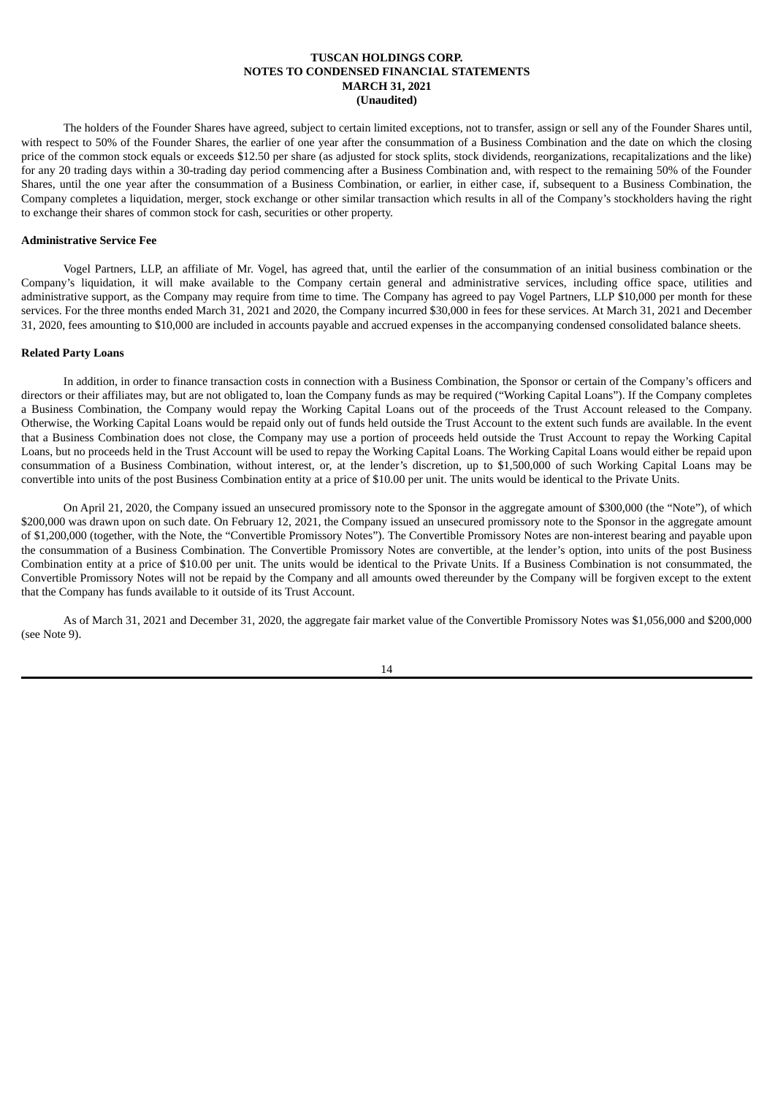The holders of the Founder Shares have agreed, subject to certain limited exceptions, not to transfer, assign or sell any of the Founder Shares until, with respect to 50% of the Founder Shares, the earlier of one year after the consummation of a Business Combination and the date on which the closing price of the common stock equals or exceeds \$12.50 per share (as adjusted for stock splits, stock dividends, reorganizations, recapitalizations and the like) for any 20 trading days within a 30-trading day period commencing after a Business Combination and, with respect to the remaining 50% of the Founder Shares, until the one year after the consummation of a Business Combination, or earlier, in either case, if, subsequent to a Business Combination, the Company completes a liquidation, merger, stock exchange or other similar transaction which results in all of the Company's stockholders having the right to exchange their shares of common stock for cash, securities or other property.

#### **Administrative Service Fee**

Vogel Partners, LLP, an affiliate of Mr. Vogel, has agreed that, until the earlier of the consummation of an initial business combination or the Company's liquidation, it will make available to the Company certain general and administrative services, including office space, utilities and administrative support, as the Company may require from time to time. The Company has agreed to pay Vogel Partners, LLP \$10,000 per month for these services. For the three months ended March 31, 2021 and 2020, the Company incurred \$30,000 in fees for these services. At March 31, 2021 and December 31, 2020, fees amounting to \$10,000 are included in accounts payable and accrued expenses in the accompanying condensed consolidated balance sheets.

#### **Related Party Loans**

In addition, in order to finance transaction costs in connection with a Business Combination, the Sponsor or certain of the Company's officers and directors or their affiliates may, but are not obligated to, loan the Company funds as may be required ("Working Capital Loans"). If the Company completes a Business Combination, the Company would repay the Working Capital Loans out of the proceeds of the Trust Account released to the Company. Otherwise, the Working Capital Loans would be repaid only out of funds held outside the Trust Account to the extent such funds are available. In the event that a Business Combination does not close, the Company may use a portion of proceeds held outside the Trust Account to repay the Working Capital Loans, but no proceeds held in the Trust Account will be used to repay the Working Capital Loans. The Working Capital Loans would either be repaid upon consummation of a Business Combination, without interest, or, at the lender's discretion, up to \$1,500,000 of such Working Capital Loans may be convertible into units of the post Business Combination entity at a price of \$10.00 per unit. The units would be identical to the Private Units.

On April 21, 2020, the Company issued an unsecured promissory note to the Sponsor in the aggregate amount of \$300,000 (the "Note"), of which \$200,000 was drawn upon on such date. On February 12, 2021, the Company issued an unsecured promissory note to the Sponsor in the aggregate amount of \$1,200,000 (together, with the Note, the "Convertible Promissory Notes"). The Convertible Promissory Notes are non-interest bearing and payable upon the consummation of a Business Combination. The Convertible Promissory Notes are convertible, at the lender's option, into units of the post Business Combination entity at a price of \$10.00 per unit. The units would be identical to the Private Units. If a Business Combination is not consummated, the Convertible Promissory Notes will not be repaid by the Company and all amounts owed thereunder by the Company will be forgiven except to the extent that the Company has funds available to it outside of its Trust Account.

As of March 31, 2021 and December 31, 2020, the aggregate fair market value of the Convertible Promissory Notes was \$1,056,000 and \$200,000 (see Note 9).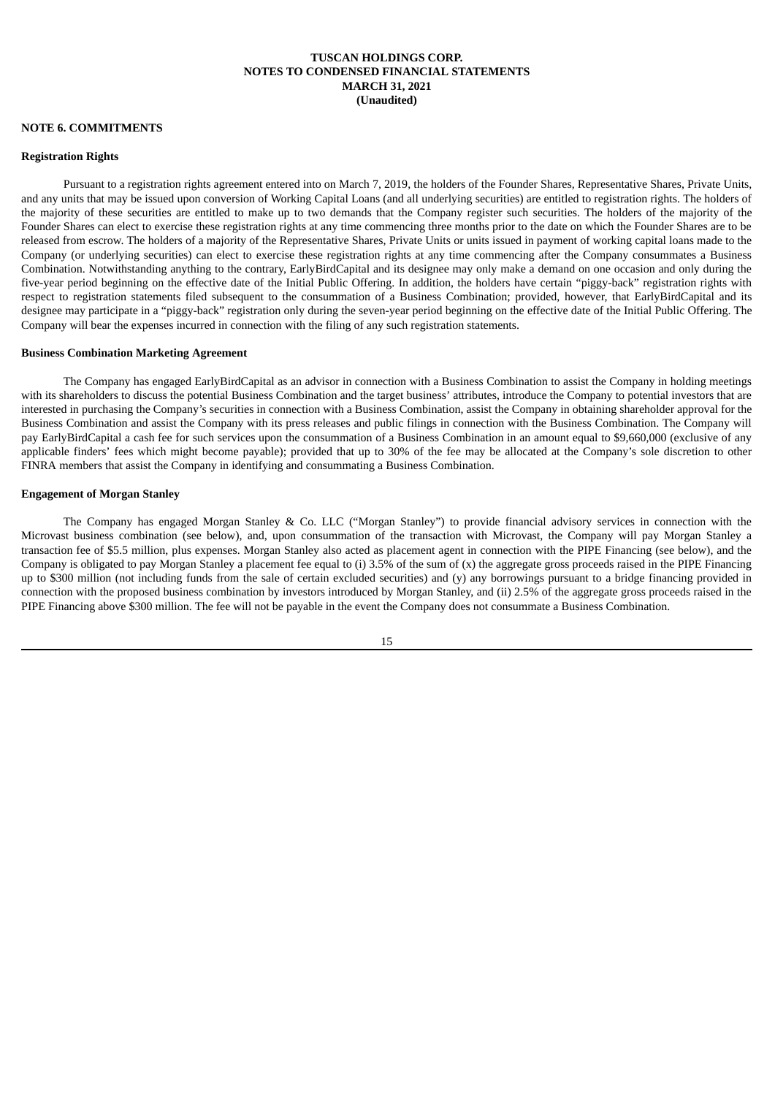#### **NOTE 6. COMMITMENTS**

#### **Registration Rights**

Pursuant to a registration rights agreement entered into on March 7, 2019, the holders of the Founder Shares, Representative Shares, Private Units, and any units that may be issued upon conversion of Working Capital Loans (and all underlying securities) are entitled to registration rights. The holders of the majority of these securities are entitled to make up to two demands that the Company register such securities. The holders of the majority of the Founder Shares can elect to exercise these registration rights at any time commencing three months prior to the date on which the Founder Shares are to be released from escrow. The holders of a majority of the Representative Shares, Private Units or units issued in payment of working capital loans made to the Company (or underlying securities) can elect to exercise these registration rights at any time commencing after the Company consummates a Business Combination. Notwithstanding anything to the contrary, EarlyBirdCapital and its designee may only make a demand on one occasion and only during the five-year period beginning on the effective date of the Initial Public Offering. In addition, the holders have certain "piggy-back" registration rights with respect to registration statements filed subsequent to the consummation of a Business Combination; provided, however, that EarlyBirdCapital and its designee may participate in a "piggy-back" registration only during the seven-year period beginning on the effective date of the Initial Public Offering. The Company will bear the expenses incurred in connection with the filing of any such registration statements.

#### **Business Combination Marketing Agreement**

The Company has engaged EarlyBirdCapital as an advisor in connection with a Business Combination to assist the Company in holding meetings with its shareholders to discuss the potential Business Combination and the target business' attributes, introduce the Company to potential investors that are interested in purchasing the Company's securities in connection with a Business Combination, assist the Company in obtaining shareholder approval for the Business Combination and assist the Company with its press releases and public filings in connection with the Business Combination. The Company will pay EarlyBirdCapital a cash fee for such services upon the consummation of a Business Combination in an amount equal to \$9,660,000 (exclusive of any applicable finders' fees which might become payable); provided that up to 30% of the fee may be allocated at the Company's sole discretion to other FINRA members that assist the Company in identifying and consummating a Business Combination.

## **Engagement of Morgan Stanley**

The Company has engaged Morgan Stanley & Co. LLC ("Morgan Stanley") to provide financial advisory services in connection with the Microvast business combination (see below), and, upon consummation of the transaction with Microvast, the Company will pay Morgan Stanley a transaction fee of \$5.5 million, plus expenses. Morgan Stanley also acted as placement agent in connection with the PIPE Financing (see below), and the Company is obligated to pay Morgan Stanley a placement fee equal to (i)  $3.5\%$  of the sum of (x) the aggregate gross proceeds raised in the PIPE Financing up to \$300 million (not including funds from the sale of certain excluded securities) and (y) any borrowings pursuant to a bridge financing provided in connection with the proposed business combination by investors introduced by Morgan Stanley, and (ii) 2.5% of the aggregate gross proceeds raised in the PIPE Financing above \$300 million. The fee will not be payable in the event the Company does not consummate a Business Combination.

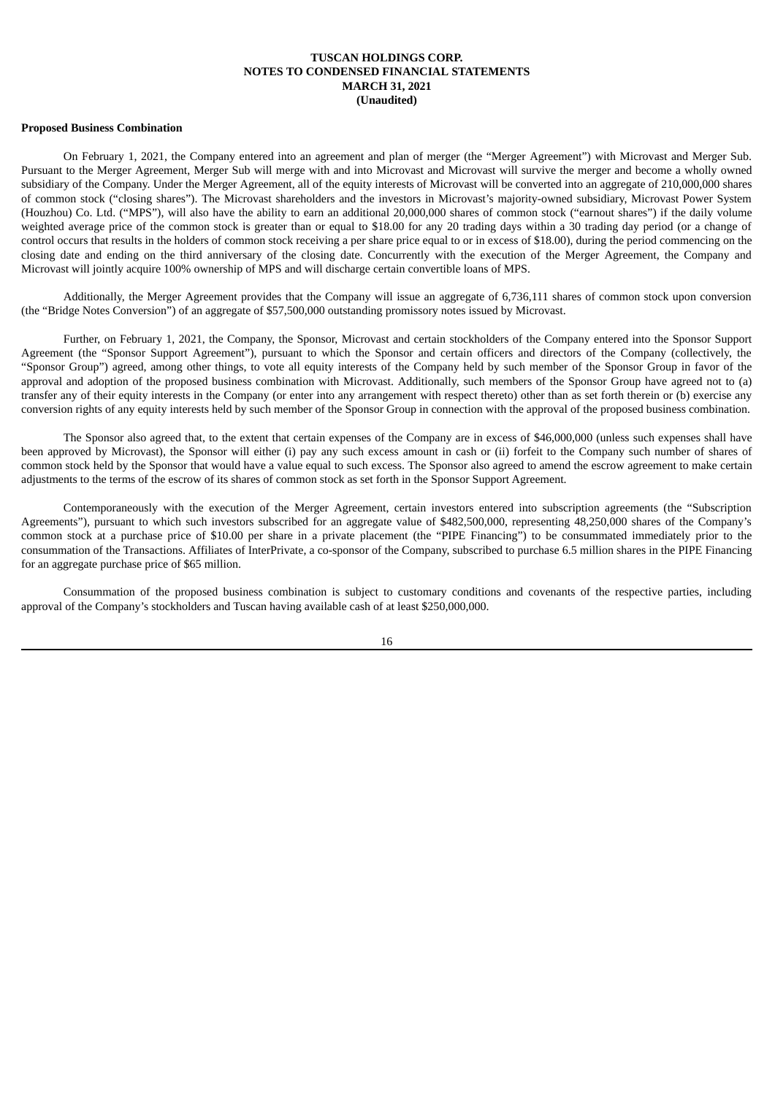#### **Proposed Business Combination**

On February 1, 2021, the Company entered into an agreement and plan of merger (the "Merger Agreement") with Microvast and Merger Sub. Pursuant to the Merger Agreement, Merger Sub will merge with and into Microvast and Microvast will survive the merger and become a wholly owned subsidiary of the Company. Under the Merger Agreement, all of the equity interests of Microvast will be converted into an aggregate of 210,000,000 shares of common stock ("closing shares"). The Microvast shareholders and the investors in Microvast's majority-owned subsidiary, Microvast Power System (Houzhou) Co. Ltd. ("MPS"), will also have the ability to earn an additional 20,000,000 shares of common stock ("earnout shares") if the daily volume weighted average price of the common stock is greater than or equal to \$18.00 for any 20 trading days within a 30 trading day period (or a change of control occurs that results in the holders of common stock receiving a per share price equal to or in excess of \$18.00), during the period commencing on the closing date and ending on the third anniversary of the closing date. Concurrently with the execution of the Merger Agreement, the Company and Microvast will jointly acquire 100% ownership of MPS and will discharge certain convertible loans of MPS.

Additionally, the Merger Agreement provides that the Company will issue an aggregate of 6,736,111 shares of common stock upon conversion (the "Bridge Notes Conversion") of an aggregate of \$57,500,000 outstanding promissory notes issued by Microvast.

Further, on February 1, 2021, the Company, the Sponsor, Microvast and certain stockholders of the Company entered into the Sponsor Support Agreement (the "Sponsor Support Agreement"), pursuant to which the Sponsor and certain officers and directors of the Company (collectively, the "Sponsor Group") agreed, among other things, to vote all equity interests of the Company held by such member of the Sponsor Group in favor of the approval and adoption of the proposed business combination with Microvast. Additionally, such members of the Sponsor Group have agreed not to (a) transfer any of their equity interests in the Company (or enter into any arrangement with respect thereto) other than as set forth therein or (b) exercise any conversion rights of any equity interests held by such member of the Sponsor Group in connection with the approval of the proposed business combination.

The Sponsor also agreed that, to the extent that certain expenses of the Company are in excess of \$46,000,000 (unless such expenses shall have been approved by Microvast), the Sponsor will either (i) pay any such excess amount in cash or (ii) forfeit to the Company such number of shares of common stock held by the Sponsor that would have a value equal to such excess. The Sponsor also agreed to amend the escrow agreement to make certain adjustments to the terms of the escrow of its shares of common stock as set forth in the Sponsor Support Agreement.

Contemporaneously with the execution of the Merger Agreement, certain investors entered into subscription agreements (the "Subscription Agreements"), pursuant to which such investors subscribed for an aggregate value of \$482,500,000, representing 48,250,000 shares of the Company's common stock at a purchase price of \$10.00 per share in a private placement (the "PIPE Financing") to be consummated immediately prior to the consummation of the Transactions. Affiliates of InterPrivate, a co-sponsor of the Company, subscribed to purchase 6.5 million shares in the PIPE Financing for an aggregate purchase price of \$65 million.

Consummation of the proposed business combination is subject to customary conditions and covenants of the respective parties, including approval of the Company's stockholders and Tuscan having available cash of at least \$250,000,000.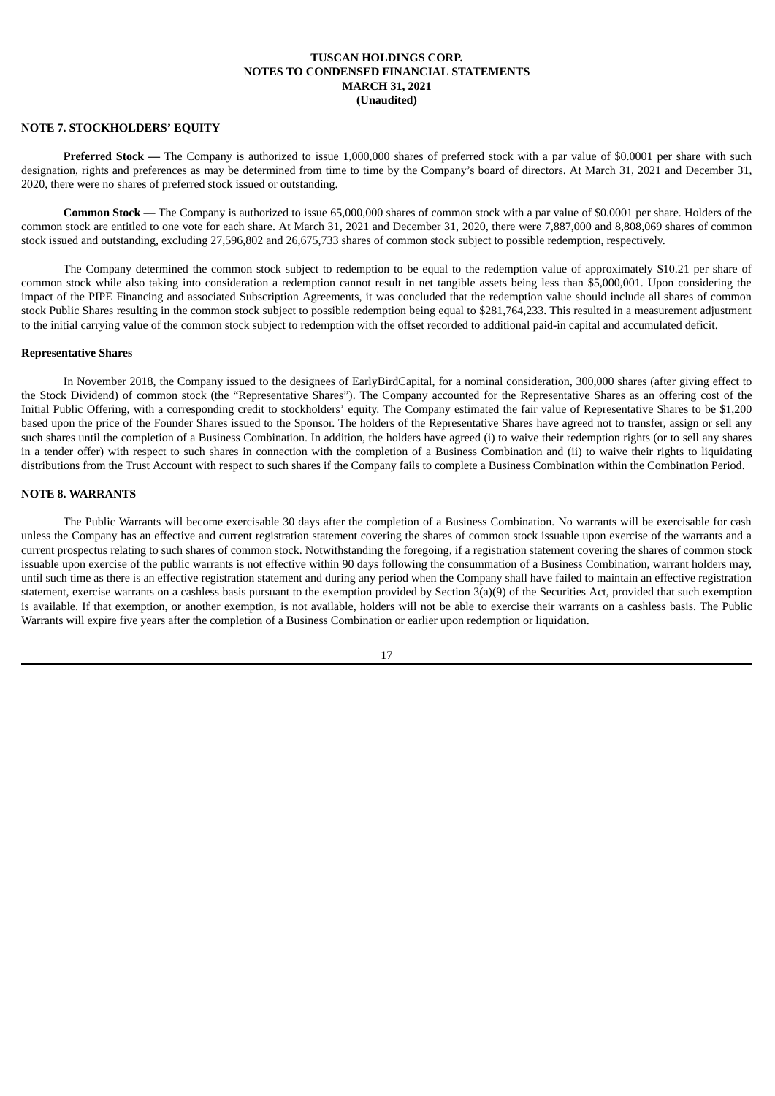#### **NOTE 7. STOCKHOLDERS' EQUITY**

**Preferred Stock — The Company is authorized to issue 1,000,000 shares of preferred stock with a par value of \$0.0001 per share with such** designation, rights and preferences as may be determined from time to time by the Company's board of directors. At March 31, 2021 and December 31, 2020, there were no shares of preferred stock issued or outstanding.

**Common Stock** — The Company is authorized to issue 65,000,000 shares of common stock with a par value of \$0.0001 per share. Holders of the common stock are entitled to one vote for each share. At March 31, 2021 and December 31, 2020, there were 7,887,000 and 8,808,069 shares of common stock issued and outstanding, excluding 27,596,802 and 26,675,733 shares of common stock subject to possible redemption, respectively.

The Company determined the common stock subject to redemption to be equal to the redemption value of approximately \$10.21 per share of common stock while also taking into consideration a redemption cannot result in net tangible assets being less than \$5,000,001. Upon considering the impact of the PIPE Financing and associated Subscription Agreements, it was concluded that the redemption value should include all shares of common stock Public Shares resulting in the common stock subject to possible redemption being equal to \$281,764,233. This resulted in a measurement adjustment to the initial carrying value of the common stock subject to redemption with the offset recorded to additional paid-in capital and accumulated deficit.

#### **Representative Shares**

In November 2018, the Company issued to the designees of EarlyBirdCapital, for a nominal consideration, 300,000 shares (after giving effect to the Stock Dividend) of common stock (the "Representative Shares"). The Company accounted for the Representative Shares as an offering cost of the Initial Public Offering, with a corresponding credit to stockholders' equity. The Company estimated the fair value of Representative Shares to be \$1,200 based upon the price of the Founder Shares issued to the Sponsor. The holders of the Representative Shares have agreed not to transfer, assign or sell any such shares until the completion of a Business Combination. In addition, the holders have agreed (i) to waive their redemption rights (or to sell any shares in a tender offer) with respect to such shares in connection with the completion of a Business Combination and (ii) to waive their rights to liquidating distributions from the Trust Account with respect to such shares if the Company fails to complete a Business Combination within the Combination Period.

## **NOTE 8. WARRANTS**

The Public Warrants will become exercisable 30 days after the completion of a Business Combination. No warrants will be exercisable for cash unless the Company has an effective and current registration statement covering the shares of common stock issuable upon exercise of the warrants and a current prospectus relating to such shares of common stock. Notwithstanding the foregoing, if a registration statement covering the shares of common stock issuable upon exercise of the public warrants is not effective within 90 days following the consummation of a Business Combination, warrant holders may, until such time as there is an effective registration statement and during any period when the Company shall have failed to maintain an effective registration statement, exercise warrants on a cashless basis pursuant to the exemption provided by Section 3(a)(9) of the Securities Act, provided that such exemption is available. If that exemption, or another exemption, is not available, holders will not be able to exercise their warrants on a cashless basis. The Public Warrants will expire five years after the completion of a Business Combination or earlier upon redemption or liquidation.

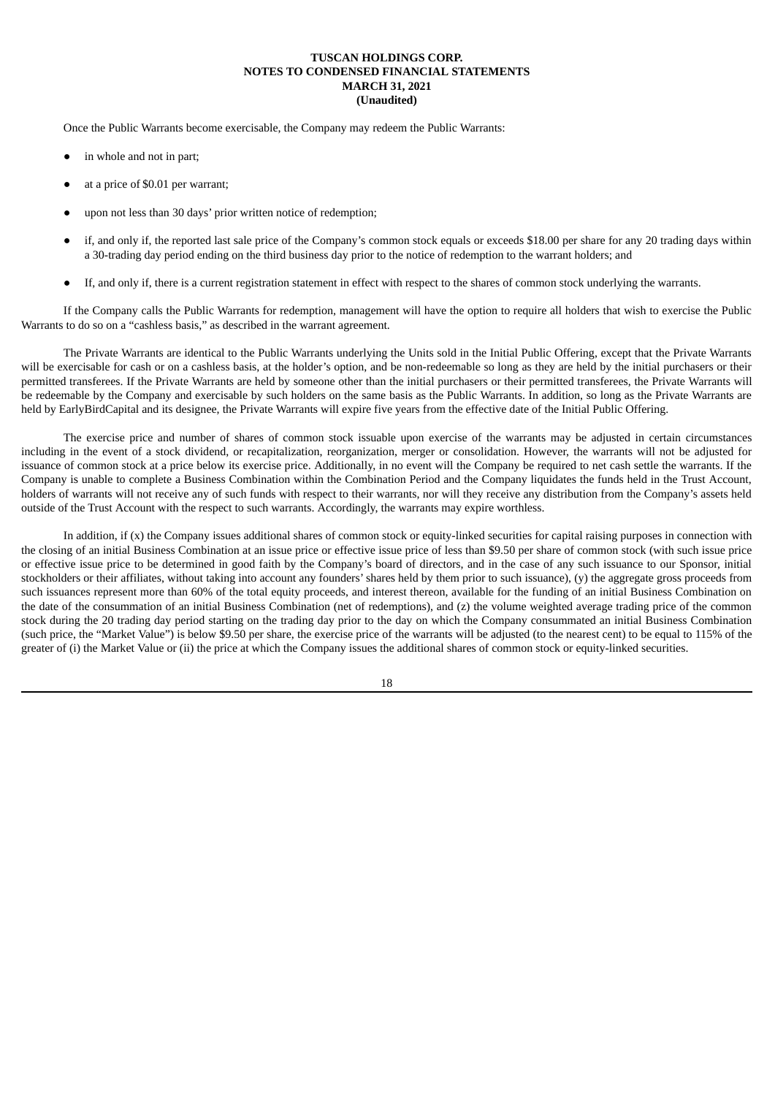Once the Public Warrants become exercisable, the Company may redeem the Public Warrants:

- in whole and not in part;
- at a price of \$0.01 per warrant;
- upon not less than 30 days' prior written notice of redemption;
- if, and only if, the reported last sale price of the Company's common stock equals or exceeds \$18.00 per share for any 20 trading days within a 30-trading day period ending on the third business day prior to the notice of redemption to the warrant holders; and
- If, and only if, there is a current registration statement in effect with respect to the shares of common stock underlying the warrants.

If the Company calls the Public Warrants for redemption, management will have the option to require all holders that wish to exercise the Public Warrants to do so on a "cashless basis," as described in the warrant agreement.

The Private Warrants are identical to the Public Warrants underlying the Units sold in the Initial Public Offering, except that the Private Warrants will be exercisable for cash or on a cashless basis, at the holder's option, and be non-redeemable so long as they are held by the initial purchasers or their permitted transferees. If the Private Warrants are held by someone other than the initial purchasers or their permitted transferees, the Private Warrants will be redeemable by the Company and exercisable by such holders on the same basis as the Public Warrants. In addition, so long as the Private Warrants are held by EarlyBirdCapital and its designee, the Private Warrants will expire five years from the effective date of the Initial Public Offering.

The exercise price and number of shares of common stock issuable upon exercise of the warrants may be adjusted in certain circumstances including in the event of a stock dividend, or recapitalization, reorganization, merger or consolidation. However, the warrants will not be adjusted for issuance of common stock at a price below its exercise price. Additionally, in no event will the Company be required to net cash settle the warrants. If the Company is unable to complete a Business Combination within the Combination Period and the Company liquidates the funds held in the Trust Account, holders of warrants will not receive any of such funds with respect to their warrants, nor will they receive any distribution from the Company's assets held outside of the Trust Account with the respect to such warrants. Accordingly, the warrants may expire worthless.

In addition, if (x) the Company issues additional shares of common stock or equity-linked securities for capital raising purposes in connection with the closing of an initial Business Combination at an issue price or effective issue price of less than \$9.50 per share of common stock (with such issue price or effective issue price to be determined in good faith by the Company's board of directors, and in the case of any such issuance to our Sponsor, initial stockholders or their affiliates, without taking into account any founders'shares held by them prior to such issuance), (y) the aggregate gross proceeds from such issuances represent more than 60% of the total equity proceeds, and interest thereon, available for the funding of an initial Business Combination on the date of the consummation of an initial Business Combination (net of redemptions), and (z) the volume weighted average trading price of the common stock during the 20 trading day period starting on the trading day prior to the day on which the Company consummated an initial Business Combination (such price, the "Market Value") is below \$9.50 per share, the exercise price of the warrants will be adjusted (to the nearest cent) to be equal to 115% of the greater of (i) the Market Value or (ii) the price at which the Company issues the additional shares of common stock or equity-linked securities.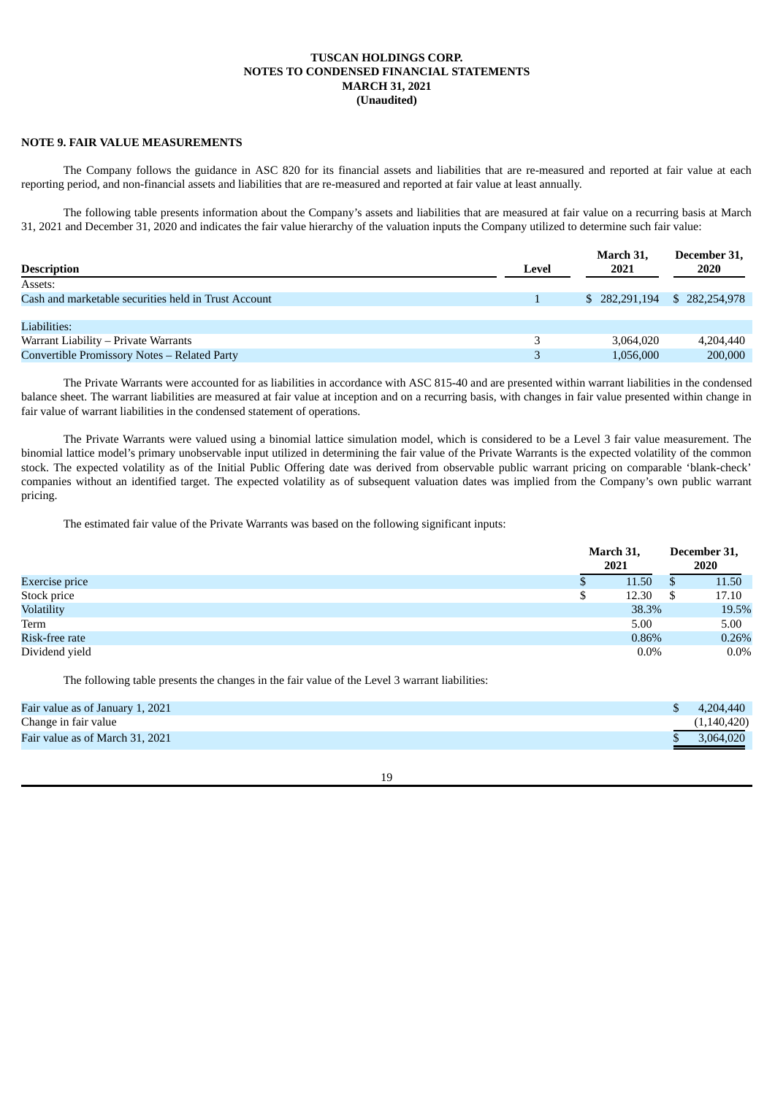## **NOTE 9. FAIR VALUE MEASUREMENTS**

The Company follows the guidance in ASC 820 for its financial assets and liabilities that are re-measured and reported at fair value at each reporting period, and non-financial assets and liabilities that are re-measured and reported at fair value at least annually.

The following table presents information about the Company's assets and liabilities that are measured at fair value on a recurring basis at March 31, 2021 and December 31, 2020 and indicates the fair value hierarchy of the valuation inputs the Company utilized to determine such fair value:

|                                                      |       | March 31,                     | December 31, |
|------------------------------------------------------|-------|-------------------------------|--------------|
| <b>Description</b>                                   | Level | 2021                          | 2020         |
| Assets:                                              |       |                               |              |
| Cash and marketable securities held in Trust Account |       | $$282,291,194$ $$282,254,978$ |              |
|                                                      |       |                               |              |
| Liabilities:                                         |       |                               |              |
| Warrant Liability – Private Warrants                 |       | 3.064.020                     | 4,204,440    |
| Convertible Promissory Notes - Related Party         |       | 1,056,000                     | 200,000      |

The Private Warrants were accounted for as liabilities in accordance with ASC 815-40 and are presented within warrant liabilities in the condensed balance sheet. The warrant liabilities are measured at fair value at inception and on a recurring basis, with changes in fair value presented within change in fair value of warrant liabilities in the condensed statement of operations.

The Private Warrants were valued using a binomial lattice simulation model, which is considered to be a Level 3 fair value measurement. The binomial lattice model's primary unobservable input utilized in determining the fair value of the Private Warrants is the expected volatility of the common stock. The expected volatility as of the Initial Public Offering date was derived from observable public warrant pricing on comparable 'blank-check' companies without an identified target. The expected volatility as of subsequent valuation dates was implied from the Company's own public warrant pricing.

The estimated fair value of the Private Warrants was based on the following significant inputs:

|                       | March 31,<br>2021 |         | December 31,<br>2020 |  |
|-----------------------|-------------------|---------|----------------------|--|
| <b>Exercise</b> price | 11.50             | -S      | 11.50                |  |
| Stock price           | 12.30             | -S      | 17.10                |  |
| <b>Volatility</b>     |                   | 38.3%   | 19.5%                |  |
| Term                  | 5.00              |         | 5.00                 |  |
| Risk-free rate        |                   | 0.86%   | 0.26%                |  |
| Dividend yield        |                   | $0.0\%$ | $0.0\%$              |  |

The following table presents the changes in the fair value of the Level 3 warrant liabilities:

| Fair value as of January 1, 2021 | S. | 4.204.440   |
|----------------------------------|----|-------------|
| Change in fair value             |    | (1,140,420) |
| Fair value as of March 31, 2021  |    | 3,064,020   |

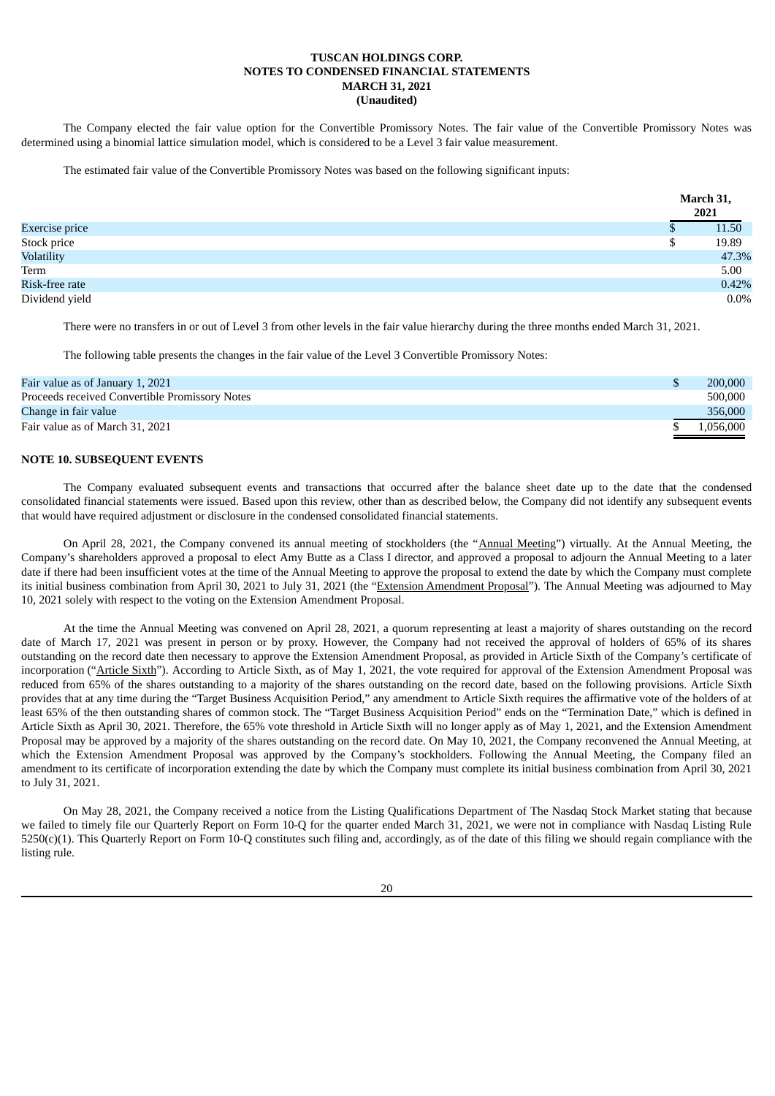The Company elected the fair value option for the Convertible Promissory Notes. The fair value of the Convertible Promissory Notes was determined using a binomial lattice simulation model, which is considered to be a Level 3 fair value measurement.

The estimated fair value of the Convertible Promissory Notes was based on the following significant inputs:

|                       |    | March 31,<br>2021 |  |  |
|-----------------------|----|-------------------|--|--|
| <b>Exercise</b> price | Ф  | 11.50             |  |  |
| Stock price           | \$ | 19.89             |  |  |
| Volatility            |    | 47.3%             |  |  |
| Term                  |    | 5.00              |  |  |
| Risk-free rate        |    | 0.42%             |  |  |
| Dividend yield        |    | $0.0\%$           |  |  |

There were no transfers in or out of Level 3 from other levels in the fair value hierarchy during the three months ended March 31, 2021.

The following table presents the changes in the fair value of the Level 3 Convertible Promissory Notes:

| Fair value as of January 1, 2021               | 200,000   |
|------------------------------------------------|-----------|
| Proceeds received Convertible Promissory Notes | 500,000   |
| Change in fair value                           | 356,000   |
| Fair value as of March 31, 2021                | 1.056.000 |

#### **NOTE 10. SUBSEQUENT EVENTS**

The Company evaluated subsequent events and transactions that occurred after the balance sheet date up to the date that the condensed consolidated financial statements were issued. Based upon this review, other than as described below, the Company did not identify any subsequent events that would have required adjustment or disclosure in the condensed consolidated financial statements.

On April 28, 2021, the Company convened its annual meeting of stockholders (the "Annual Meeting") virtually. At the Annual Meeting, the Company's shareholders approved a proposal to elect Amy Butte as a Class I director, and approved a proposal to adjourn the Annual Meeting to a later date if there had been insufficient votes at the time of the Annual Meeting to approve the proposal to extend the date by which the Company must complete its initial business combination from April 30, 2021 to July 31, 2021 (the "Extension Amendment Proposal"). The Annual Meeting was adjourned to May 10, 2021 solely with respect to the voting on the Extension Amendment Proposal.

At the time the Annual Meeting was convened on April 28, 2021, a quorum representing at least a majority of shares outstanding on the record date of March 17, 2021 was present in person or by proxy. However, the Company had not received the approval of holders of 65% of its shares outstanding on the record date then necessary to approve the Extension Amendment Proposal, as provided in Article Sixth of the Company's certificate of incorporation ("Article Sixth"). According to Article Sixth, as of May 1, 2021, the vote required for approval of the Extension Amendment Proposal was reduced from 65% of the shares outstanding to a majority of the shares outstanding on the record date, based on the following provisions. Article Sixth provides that at any time during the "Target Business Acquisition Period," any amendment to Article Sixth requires the affirmative vote of the holders of at least 65% of the then outstanding shares of common stock. The "Target Business Acquisition Period" ends on the "Termination Date," which is defined in Article Sixth as April 30, 2021. Therefore, the 65% vote threshold in Article Sixth will no longer apply as of May 1, 2021, and the Extension Amendment Proposal may be approved by a majority of the shares outstanding on the record date. On May 10, 2021, the Company reconvened the Annual Meeting, at which the Extension Amendment Proposal was approved by the Company's stockholders. Following the Annual Meeting, the Company filed an amendment to its certificate of incorporation extending the date by which the Company must complete its initial business combination from April 30, 2021 to July 31, 2021.

On May 28, 2021, the Company received a notice from the Listing Qualifications Department of The Nasdaq Stock Market stating that because we failed to timely file our Quarterly Report on Form 10-Q for the quarter ended March 31, 2021, we were not in compliance with Nasdaq Listing Rule 5250(c)(1). This Quarterly Report on Form 10-Q constitutes such filing and, accordingly, as of the date of this filing we should regain compliance with the listing rule.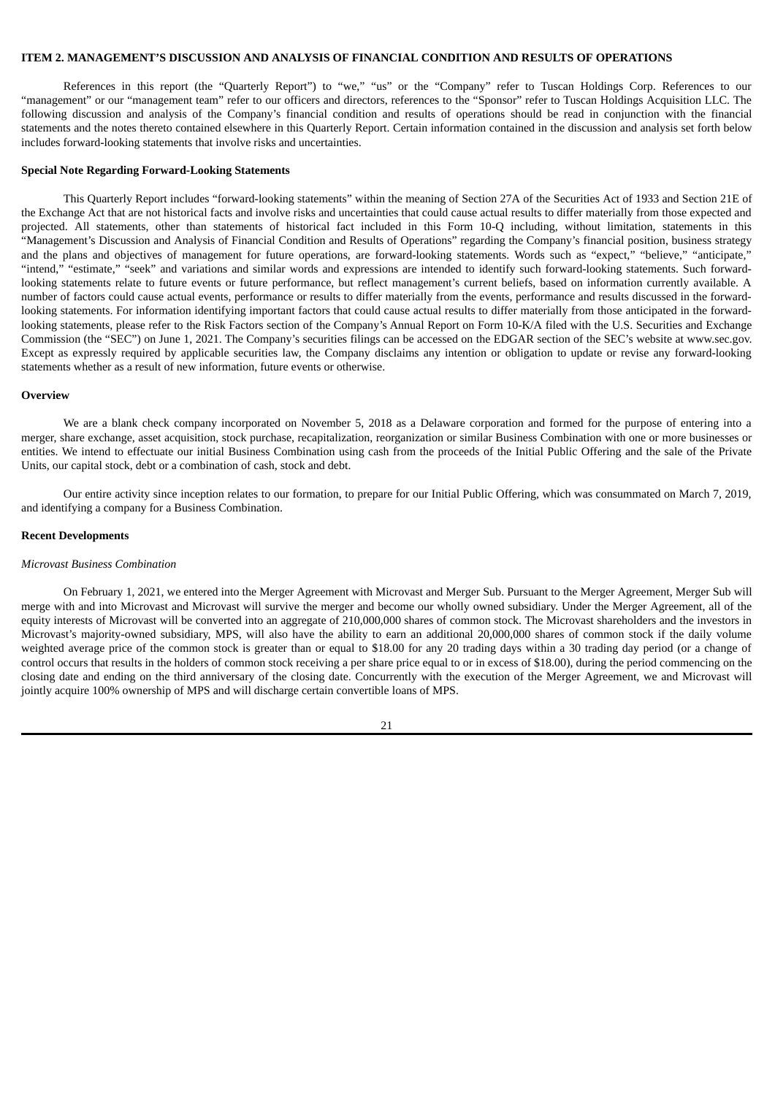#### <span id="page-22-0"></span>**ITEM 2. MANAGEMENT'S DISCUSSION AND ANALYSIS OF FINANCIAL CONDITION AND RESULTS OF OPERATIONS**

References in this report (the "Quarterly Report") to "we," "us" or the "Company" refer to Tuscan Holdings Corp. References to our "management" or our "management team" refer to our officers and directors, references to the "Sponsor" refer to Tuscan Holdings Acquisition LLC. The following discussion and analysis of the Company's financial condition and results of operations should be read in conjunction with the financial statements and the notes thereto contained elsewhere in this Quarterly Report. Certain information contained in the discussion and analysis set forth below includes forward-looking statements that involve risks and uncertainties.

#### **Special Note Regarding Forward-Looking Statements**

This Quarterly Report includes "forward-looking statements" within the meaning of Section 27A of the Securities Act of 1933 and Section 21E of the Exchange Act that are not historical facts and involve risks and uncertainties that could cause actual results to differ materially from those expected and projected. All statements, other than statements of historical fact included in this Form 10-Q including, without limitation, statements in this "Management's Discussion and Analysis of Financial Condition and Results of Operations" regarding the Company's financial position, business strategy and the plans and objectives of management for future operations, are forward-looking statements. Words such as "expect," "believe," "anticipate," "intend," "estimate," "seek" and variations and similar words and expressions are intended to identify such forward-looking statements. Such forwardlooking statements relate to future events or future performance, but reflect management's current beliefs, based on information currently available. A number of factors could cause actual events, performance or results to differ materially from the events, performance and results discussed in the forwardlooking statements. For information identifying important factors that could cause actual results to differ materially from those anticipated in the forwardlooking statements, please refer to the Risk Factors section of the Company's Annual Report on Form 10-K/A filed with the U.S. Securities and Exchange Commission (the "SEC") on June 1, 2021. The Company's securities filings can be accessed on the EDGAR section of the SEC's website at www.sec.gov. Except as expressly required by applicable securities law, the Company disclaims any intention or obligation to update or revise any forward-looking statements whether as a result of new information, future events or otherwise.

#### **Overview**

We are a blank check company incorporated on November 5, 2018 as a Delaware corporation and formed for the purpose of entering into a merger, share exchange, asset acquisition, stock purchase, recapitalization, reorganization or similar Business Combination with one or more businesses or entities. We intend to effectuate our initial Business Combination using cash from the proceeds of the Initial Public Offering and the sale of the Private Units, our capital stock, debt or a combination of cash, stock and debt.

Our entire activity since inception relates to our formation, to prepare for our Initial Public Offering, which was consummated on March 7, 2019, and identifying a company for a Business Combination.

#### **Recent Developments**

#### *Microvast Business Combination*

On February 1, 2021, we entered into the Merger Agreement with Microvast and Merger Sub. Pursuant to the Merger Agreement, Merger Sub will merge with and into Microvast and Microvast will survive the merger and become our wholly owned subsidiary. Under the Merger Agreement, all of the equity interests of Microvast will be converted into an aggregate of 210,000,000 shares of common stock. The Microvast shareholders and the investors in Microvast's majority-owned subsidiary, MPS, will also have the ability to earn an additional 20,000,000 shares of common stock if the daily volume weighted average price of the common stock is greater than or equal to \$18.00 for any 20 trading days within a 30 trading day period (or a change of control occurs that results in the holders of common stock receiving a per share price equal to or in excess of \$18.00), during the period commencing on the closing date and ending on the third anniversary of the closing date. Concurrently with the execution of the Merger Agreement, we and Microvast will jointly acquire 100% ownership of MPS and will discharge certain convertible loans of MPS.

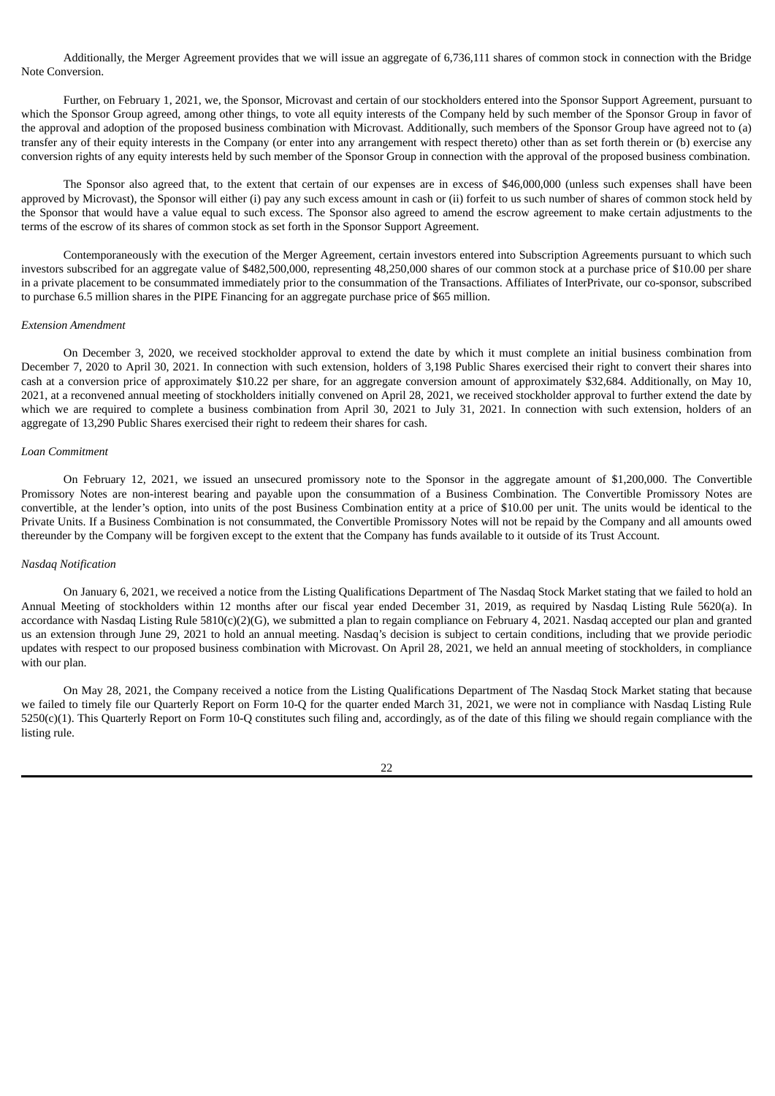Additionally, the Merger Agreement provides that we will issue an aggregate of 6,736,111 shares of common stock in connection with the Bridge Note Conversion.

Further, on February 1, 2021, we, the Sponsor, Microvast and certain of our stockholders entered into the Sponsor Support Agreement, pursuant to which the Sponsor Group agreed, among other things, to vote all equity interests of the Company held by such member of the Sponsor Group in favor of the approval and adoption of the proposed business combination with Microvast. Additionally, such members of the Sponsor Group have agreed not to (a) transfer any of their equity interests in the Company (or enter into any arrangement with respect thereto) other than as set forth therein or (b) exercise any conversion rights of any equity interests held by such member of the Sponsor Group in connection with the approval of the proposed business combination.

The Sponsor also agreed that, to the extent that certain of our expenses are in excess of \$46,000,000 (unless such expenses shall have been approved by Microvast), the Sponsor will either (i) pay any such excess amount in cash or (ii) forfeit to us such number of shares of common stock held by the Sponsor that would have a value equal to such excess. The Sponsor also agreed to amend the escrow agreement to make certain adjustments to the terms of the escrow of its shares of common stock as set forth in the Sponsor Support Agreement.

Contemporaneously with the execution of the Merger Agreement, certain investors entered into Subscription Agreements pursuant to which such investors subscribed for an aggregate value of \$482,500,000, representing 48,250,000 shares of our common stock at a purchase price of \$10.00 per share in a private placement to be consummated immediately prior to the consummation of the Transactions. Affiliates of InterPrivate, our co-sponsor, subscribed to purchase 6.5 million shares in the PIPE Financing for an aggregate purchase price of \$65 million.

#### *Extension Amendment*

On December 3, 2020, we received stockholder approval to extend the date by which it must complete an initial business combination from December 7, 2020 to April 30, 2021. In connection with such extension, holders of 3,198 Public Shares exercised their right to convert their shares into cash at a conversion price of approximately \$10.22 per share, for an aggregate conversion amount of approximately \$32,684. Additionally, on May 10, 2021, at a reconvened annual meeting of stockholders initially convened on April 28, 2021, we received stockholder approval to further extend the date by which we are required to complete a business combination from April 30, 2021 to July 31, 2021. In connection with such extension, holders of an aggregate of 13,290 Public Shares exercised their right to redeem their shares for cash.

#### *Loan Commitment*

On February 12, 2021, we issued an unsecured promissory note to the Sponsor in the aggregate amount of \$1,200,000. The Convertible Promissory Notes are non-interest bearing and payable upon the consummation of a Business Combination. The Convertible Promissory Notes are convertible, at the lender's option, into units of the post Business Combination entity at a price of \$10.00 per unit. The units would be identical to the Private Units. If a Business Combination is not consummated, the Convertible Promissory Notes will not be repaid by the Company and all amounts owed thereunder by the Company will be forgiven except to the extent that the Company has funds available to it outside of its Trust Account.

#### *Nasdaq Notification*

On January 6, 2021, we received a notice from the Listing Qualifications Department of The Nasdaq Stock Market stating that we failed to hold an Annual Meeting of stockholders within 12 months after our fiscal year ended December 31, 2019, as required by Nasdaq Listing Rule 5620(a). In accordance with Nasdaq Listing Rule  $5810(c)(2)(G)$ , we submitted a plan to regain compliance on February 4, 2021. Nasdaq accepted our plan and granted us an extension through June 29, 2021 to hold an annual meeting. Nasdaq's decision is subject to certain conditions, including that we provide periodic updates with respect to our proposed business combination with Microvast. On April 28, 2021, we held an annual meeting of stockholders, in compliance with our plan.

On May 28, 2021, the Company received a notice from the Listing Qualifications Department of The Nasdaq Stock Market stating that because we failed to timely file our Quarterly Report on Form 10-Q for the quarter ended March 31, 2021, we were not in compliance with Nasdaq Listing Rule 5250(c)(1). This Quarterly Report on Form 10-Q constitutes such filing and, accordingly, as of the date of this filing we should regain compliance with the listing rule.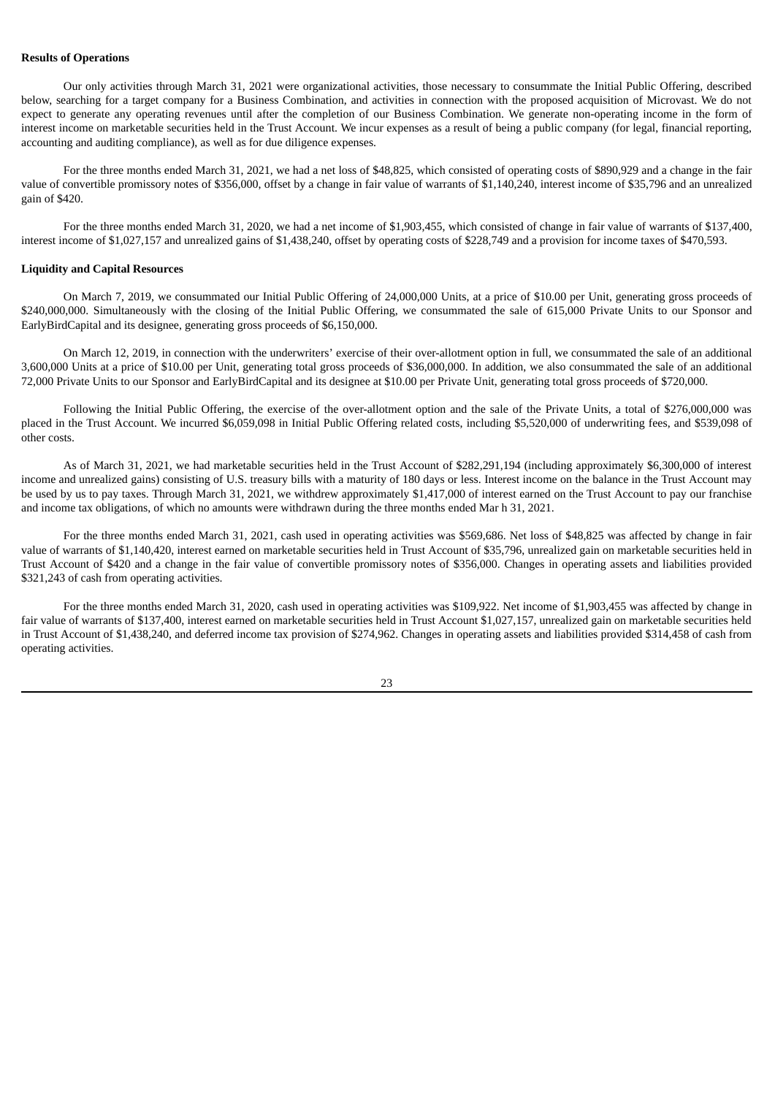#### **Results of Operations**

Our only activities through March 31, 2021 were organizational activities, those necessary to consummate the Initial Public Offering, described below, searching for a target company for a Business Combination, and activities in connection with the proposed acquisition of Microvast. We do not expect to generate any operating revenues until after the completion of our Business Combination. We generate non-operating income in the form of interest income on marketable securities held in the Trust Account. We incur expenses as a result of being a public company (for legal, financial reporting, accounting and auditing compliance), as well as for due diligence expenses.

For the three months ended March 31, 2021, we had a net loss of \$48,825, which consisted of operating costs of \$890,929 and a change in the fair value of convertible promissory notes of \$356,000, offset by a change in fair value of warrants of \$1,140,240, interest income of \$35,796 and an unrealized gain of \$420.

For the three months ended March 31, 2020, we had a net income of \$1,903,455, which consisted of change in fair value of warrants of \$137,400, interest income of \$1,027,157 and unrealized gains of \$1,438,240, offset by operating costs of \$228,749 and a provision for income taxes of \$470,593.

#### **Liquidity and Capital Resources**

On March 7, 2019, we consummated our Initial Public Offering of 24,000,000 Units, at a price of \$10.00 per Unit, generating gross proceeds of \$240,000,000. Simultaneously with the closing of the Initial Public Offering, we consummated the sale of 615,000 Private Units to our Sponsor and EarlyBirdCapital and its designee, generating gross proceeds of \$6,150,000.

On March 12, 2019, in connection with the underwriters' exercise of their over-allotment option in full, we consummated the sale of an additional 3,600,000 Units at a price of \$10.00 per Unit, generating total gross proceeds of \$36,000,000. In addition, we also consummated the sale of an additional 72,000 Private Units to our Sponsor and EarlyBirdCapital and its designee at \$10.00 per Private Unit, generating total gross proceeds of \$720,000.

Following the Initial Public Offering, the exercise of the over-allotment option and the sale of the Private Units, a total of \$276,000,000 was placed in the Trust Account. We incurred \$6,059,098 in Initial Public Offering related costs, including \$5,520,000 of underwriting fees, and \$539,098 of other costs.

As of March 31, 2021, we had marketable securities held in the Trust Account of \$282,291,194 (including approximately \$6,300,000 of interest income and unrealized gains) consisting of U.S. treasury bills with a maturity of 180 days or less. Interest income on the balance in the Trust Account may be used by us to pay taxes. Through March 31, 2021, we withdrew approximately \$1,417,000 of interest earned on the Trust Account to pay our franchise and income tax obligations, of which no amounts were withdrawn during the three months ended Mar h 31, 2021.

For the three months ended March 31, 2021, cash used in operating activities was \$569,686. Net loss of \$48,825 was affected by change in fair value of warrants of \$1,140,420, interest earned on marketable securities held in Trust Account of \$35,796, unrealized gain on marketable securities held in Trust Account of \$420 and a change in the fair value of convertible promissory notes of \$356,000. Changes in operating assets and liabilities provided \$321,243 of cash from operating activities.

For the three months ended March 31, 2020, cash used in operating activities was \$109,922. Net income of \$1,903,455 was affected by change in fair value of warrants of \$137,400, interest earned on marketable securities held in Trust Account \$1,027,157, unrealized gain on marketable securities held in Trust Account of \$1,438,240, and deferred income tax provision of \$274,962. Changes in operating assets and liabilities provided \$314,458 of cash from operating activities.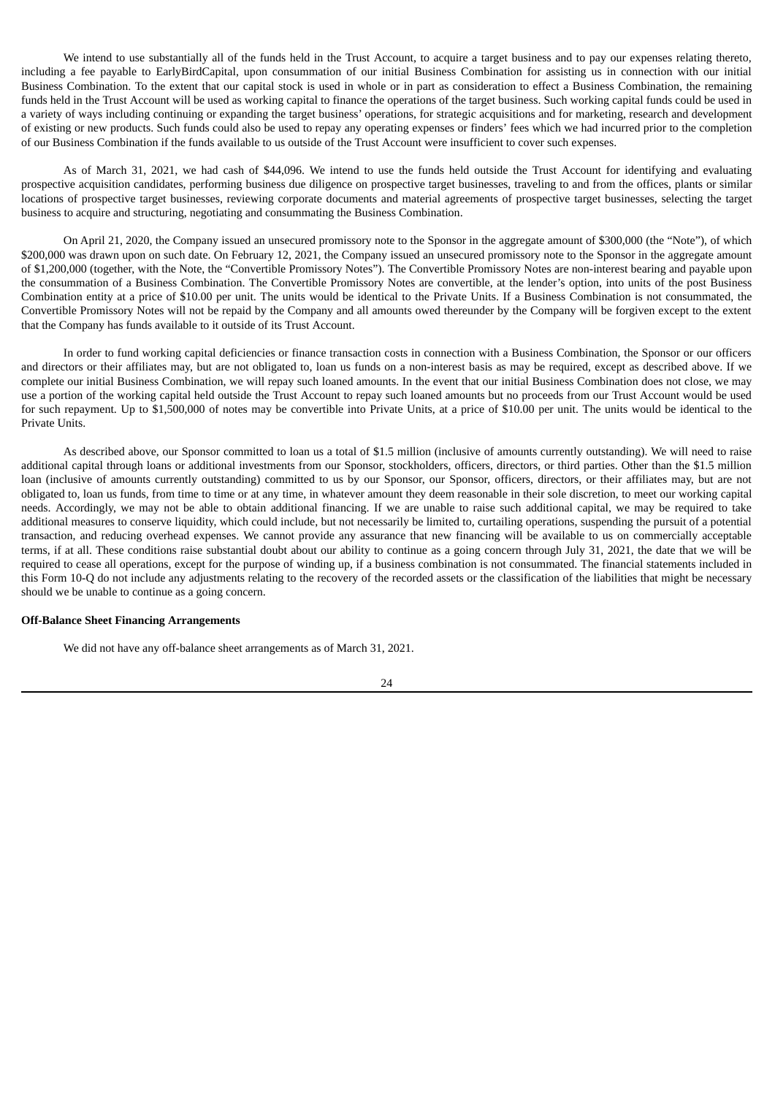We intend to use substantially all of the funds held in the Trust Account, to acquire a target business and to pay our expenses relating thereto, including a fee payable to EarlyBirdCapital, upon consummation of our initial Business Combination for assisting us in connection with our initial Business Combination. To the extent that our capital stock is used in whole or in part as consideration to effect a Business Combination, the remaining funds held in the Trust Account will be used as working capital to finance the operations of the target business. Such working capital funds could be used in a variety of ways including continuing or expanding the target business' operations, for strategic acquisitions and for marketing, research and development of existing or new products. Such funds could also be used to repay any operating expenses or finders' fees which we had incurred prior to the completion of our Business Combination if the funds available to us outside of the Trust Account were insufficient to cover such expenses.

As of March 31, 2021, we had cash of \$44,096. We intend to use the funds held outside the Trust Account for identifying and evaluating prospective acquisition candidates, performing business due diligence on prospective target businesses, traveling to and from the offices, plants or similar locations of prospective target businesses, reviewing corporate documents and material agreements of prospective target businesses, selecting the target business to acquire and structuring, negotiating and consummating the Business Combination.

On April 21, 2020, the Company issued an unsecured promissory note to the Sponsor in the aggregate amount of \$300,000 (the "Note"), of which \$200,000 was drawn upon on such date. On February 12, 2021, the Company issued an unsecured promissory note to the Sponsor in the aggregate amount of \$1,200,000 (together, with the Note, the "Convertible Promissory Notes"). The Convertible Promissory Notes are non-interest bearing and payable upon the consummation of a Business Combination. The Convertible Promissory Notes are convertible, at the lender's option, into units of the post Business Combination entity at a price of \$10.00 per unit. The units would be identical to the Private Units. If a Business Combination is not consummated, the Convertible Promissory Notes will not be repaid by the Company and all amounts owed thereunder by the Company will be forgiven except to the extent that the Company has funds available to it outside of its Trust Account.

In order to fund working capital deficiencies or finance transaction costs in connection with a Business Combination, the Sponsor or our officers and directors or their affiliates may, but are not obligated to, loan us funds on a non-interest basis as may be required, except as described above. If we complete our initial Business Combination, we will repay such loaned amounts. In the event that our initial Business Combination does not close, we may use a portion of the working capital held outside the Trust Account to repay such loaned amounts but no proceeds from our Trust Account would be used for such repayment. Up to \$1,500,000 of notes may be convertible into Private Units, at a price of \$10.00 per unit. The units would be identical to the Private Units.

As described above, our Sponsor committed to loan us a total of \$1.5 million (inclusive of amounts currently outstanding). We will need to raise additional capital through loans or additional investments from our Sponsor, stockholders, officers, directors, or third parties. Other than the \$1.5 million loan (inclusive of amounts currently outstanding) committed to us by our Sponsor, our Sponsor, officers, directors, or their affiliates may, but are not obligated to, loan us funds, from time to time or at any time, in whatever amount they deem reasonable in their sole discretion, to meet our working capital needs. Accordingly, we may not be able to obtain additional financing. If we are unable to raise such additional capital, we may be required to take additional measures to conserve liquidity, which could include, but not necessarily be limited to, curtailing operations, suspending the pursuit of a potential transaction, and reducing overhead expenses. We cannot provide any assurance that new financing will be available to us on commercially acceptable terms, if at all. These conditions raise substantial doubt about our ability to continue as a going concern through July 31, 2021, the date that we will be required to cease all operations, except for the purpose of winding up, if a business combination is not consummated. The financial statements included in this Form 10-Q do not include any adjustments relating to the recovery of the recorded assets or the classification of the liabilities that might be necessary should we be unable to continue as a going concern.

## **Off-Balance Sheet Financing Arrangements**

We did not have any off-balance sheet arrangements as of March 31, 2021.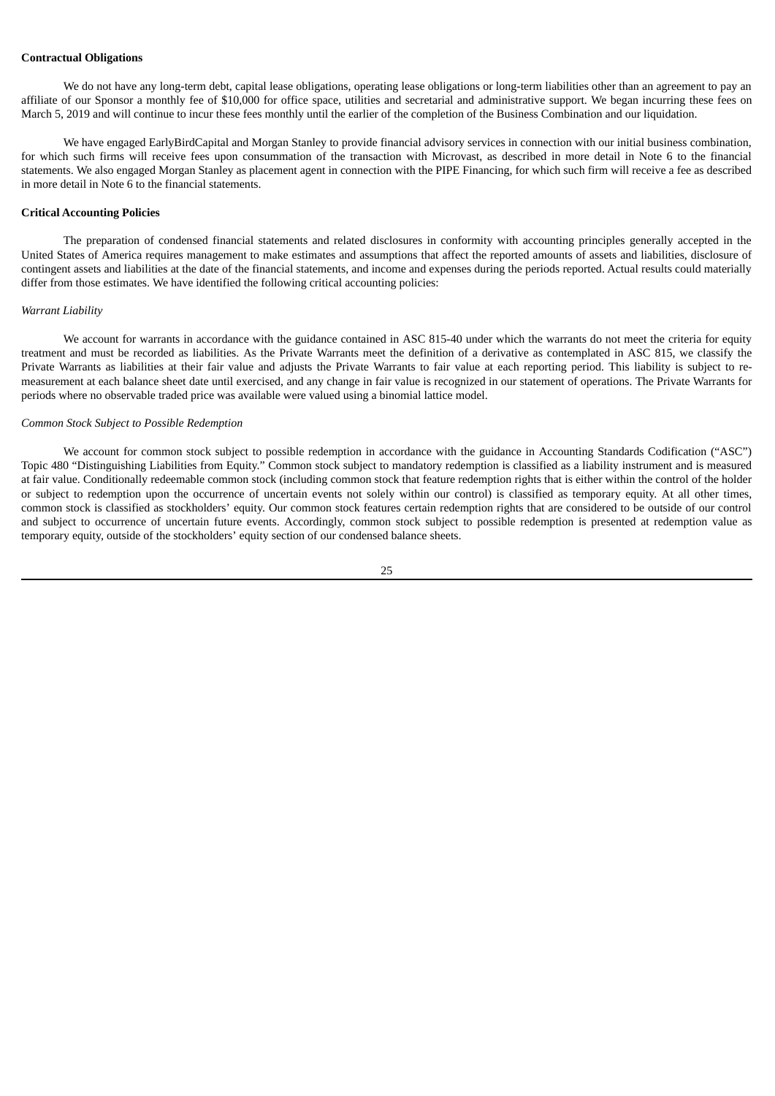#### **Contractual Obligations**

We do not have any long-term debt, capital lease obligations, operating lease obligations or long-term liabilities other than an agreement to pay an affiliate of our Sponsor a monthly fee of \$10,000 for office space, utilities and secretarial and administrative support. We began incurring these fees on March 5, 2019 and will continue to incur these fees monthly until the earlier of the completion of the Business Combination and our liquidation.

We have engaged EarlyBirdCapital and Morgan Stanley to provide financial advisory services in connection with our initial business combination, for which such firms will receive fees upon consummation of the transaction with Microvast, as described in more detail in Note 6 to the financial statements. We also engaged Morgan Stanley as placement agent in connection with the PIPE Financing, for which such firm will receive a fee as described in more detail in Note 6 to the financial statements.

## **Critical Accounting Policies**

The preparation of condensed financial statements and related disclosures in conformity with accounting principles generally accepted in the United States of America requires management to make estimates and assumptions that affect the reported amounts of assets and liabilities, disclosure of contingent assets and liabilities at the date of the financial statements, and income and expenses during the periods reported. Actual results could materially differ from those estimates. We have identified the following critical accounting policies:

#### *Warrant Liability*

We account for warrants in accordance with the guidance contained in ASC 815-40 under which the warrants do not meet the criteria for equity treatment and must be recorded as liabilities. As the Private Warrants meet the definition of a derivative as contemplated in ASC 815, we classify the Private Warrants as liabilities at their fair value and adjusts the Private Warrants to fair value at each reporting period. This liability is subject to remeasurement at each balance sheet date until exercised, and any change in fair value is recognized in our statement of operations. The Private Warrants for periods where no observable traded price was available were valued using a binomial lattice model.

#### *Common Stock Subject to Possible Redemption*

We account for common stock subject to possible redemption in accordance with the guidance in Accounting Standards Codification ("ASC") Topic 480 "Distinguishing Liabilities from Equity." Common stock subject to mandatory redemption is classified as a liability instrument and is measured at fair value. Conditionally redeemable common stock (including common stock that feature redemption rights that is either within the control of the holder or subject to redemption upon the occurrence of uncertain events not solely within our control) is classified as temporary equity. At all other times, common stock is classified as stockholders' equity. Our common stock features certain redemption rights that are considered to be outside of our control and subject to occurrence of uncertain future events. Accordingly, common stock subject to possible redemption is presented at redemption value as temporary equity, outside of the stockholders' equity section of our condensed balance sheets.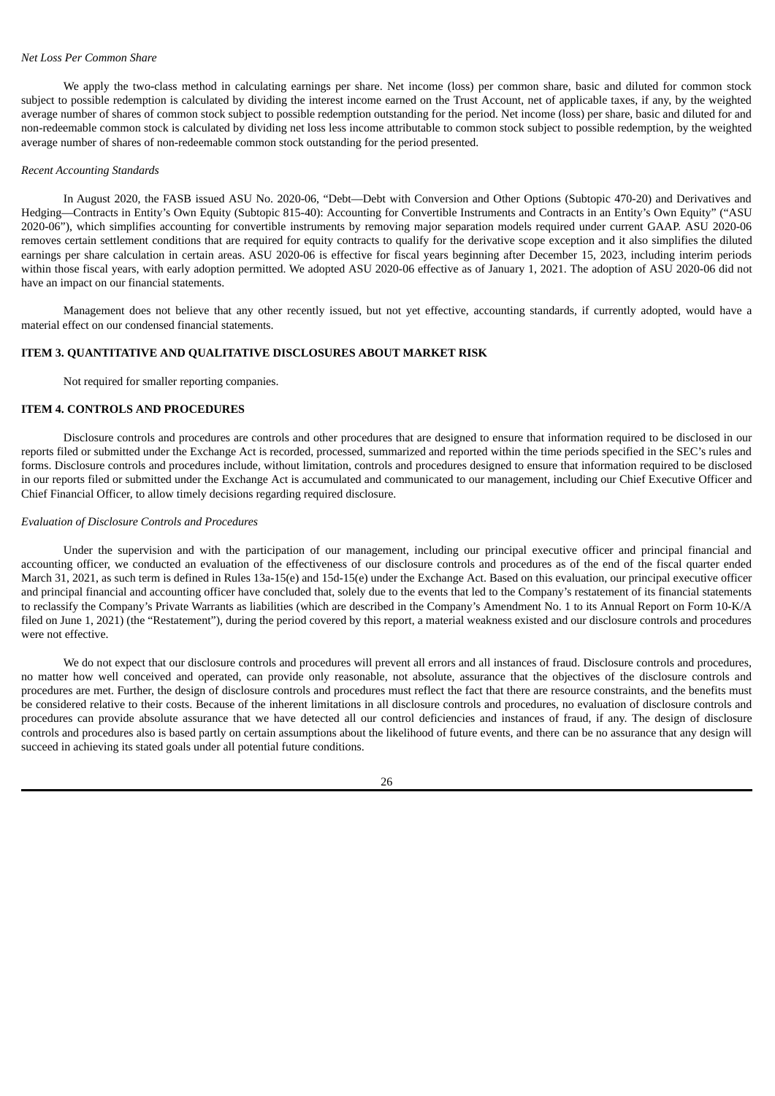#### *Net Loss Per Common Share*

We apply the two-class method in calculating earnings per share. Net income (loss) per common share, basic and diluted for common stock subject to possible redemption is calculated by dividing the interest income earned on the Trust Account, net of applicable taxes, if any, by the weighted average number of shares of common stock subject to possible redemption outstanding for the period. Net income (loss) per share, basic and diluted for and non-redeemable common stock is calculated by dividing net loss less income attributable to common stock subject to possible redemption, by the weighted average number of shares of non-redeemable common stock outstanding for the period presented.

#### *Recent Accounting Standards*

In August 2020, the FASB issued ASU No. 2020-06, "Debt—Debt with Conversion and Other Options (Subtopic 470-20) and Derivatives and Hedging—Contracts in Entity's Own Equity (Subtopic 815-40): Accounting for Convertible Instruments and Contracts in an Entity's Own Equity" ("ASU 2020-06"), which simplifies accounting for convertible instruments by removing major separation models required under current GAAP. ASU 2020-06 removes certain settlement conditions that are required for equity contracts to qualify for the derivative scope exception and it also simplifies the diluted earnings per share calculation in certain areas. ASU 2020-06 is effective for fiscal years beginning after December 15, 2023, including interim periods within those fiscal years, with early adoption permitted. We adopted ASU 2020-06 effective as of January 1, 2021. The adoption of ASU 2020-06 did not have an impact on our financial statements.

Management does not believe that any other recently issued, but not yet effective, accounting standards, if currently adopted, would have a material effect on our condensed financial statements.

## <span id="page-27-0"></span>**ITEM 3. QUANTITATIVE AND QUALITATIVE DISCLOSURES ABOUT MARKET RISK**

Not required for smaller reporting companies.

## <span id="page-27-1"></span>**ITEM 4. CONTROLS AND PROCEDURES**

Disclosure controls and procedures are controls and other procedures that are designed to ensure that information required to be disclosed in our reports filed or submitted under the Exchange Act is recorded, processed, summarized and reported within the time periods specified in the SEC's rules and forms. Disclosure controls and procedures include, without limitation, controls and procedures designed to ensure that information required to be disclosed in our reports filed or submitted under the Exchange Act is accumulated and communicated to our management, including our Chief Executive Officer and Chief Financial Officer, to allow timely decisions regarding required disclosure.

#### *Evaluation of Disclosure Controls and Procedures*

Under the supervision and with the participation of our management, including our principal executive officer and principal financial and accounting officer, we conducted an evaluation of the effectiveness of our disclosure controls and procedures as of the end of the fiscal quarter ended March 31, 2021, as such term is defined in Rules 13a-15(e) and 15d-15(e) under the Exchange Act. Based on this evaluation, our principal executive officer and principal financial and accounting officer have concluded that, solely due to the events that led to the Company's restatement of its financial statements to reclassify the Company's Private Warrants as liabilities (which are described in the Company's Amendment No. 1 to its Annual Report on Form 10-K/A filed on June 1, 2021) (the "Restatement"), during the period covered by this report, a material weakness existed and our disclosure controls and procedures were not effective.

We do not expect that our disclosure controls and procedures will prevent all errors and all instances of fraud. Disclosure controls and procedures, no matter how well conceived and operated, can provide only reasonable, not absolute, assurance that the objectives of the disclosure controls and procedures are met. Further, the design of disclosure controls and procedures must reflect the fact that there are resource constraints, and the benefits must be considered relative to their costs. Because of the inherent limitations in all disclosure controls and procedures, no evaluation of disclosure controls and procedures can provide absolute assurance that we have detected all our control deficiencies and instances of fraud, if any. The design of disclosure controls and procedures also is based partly on certain assumptions about the likelihood of future events, and there can be no assurance that any design will succeed in achieving its stated goals under all potential future conditions.

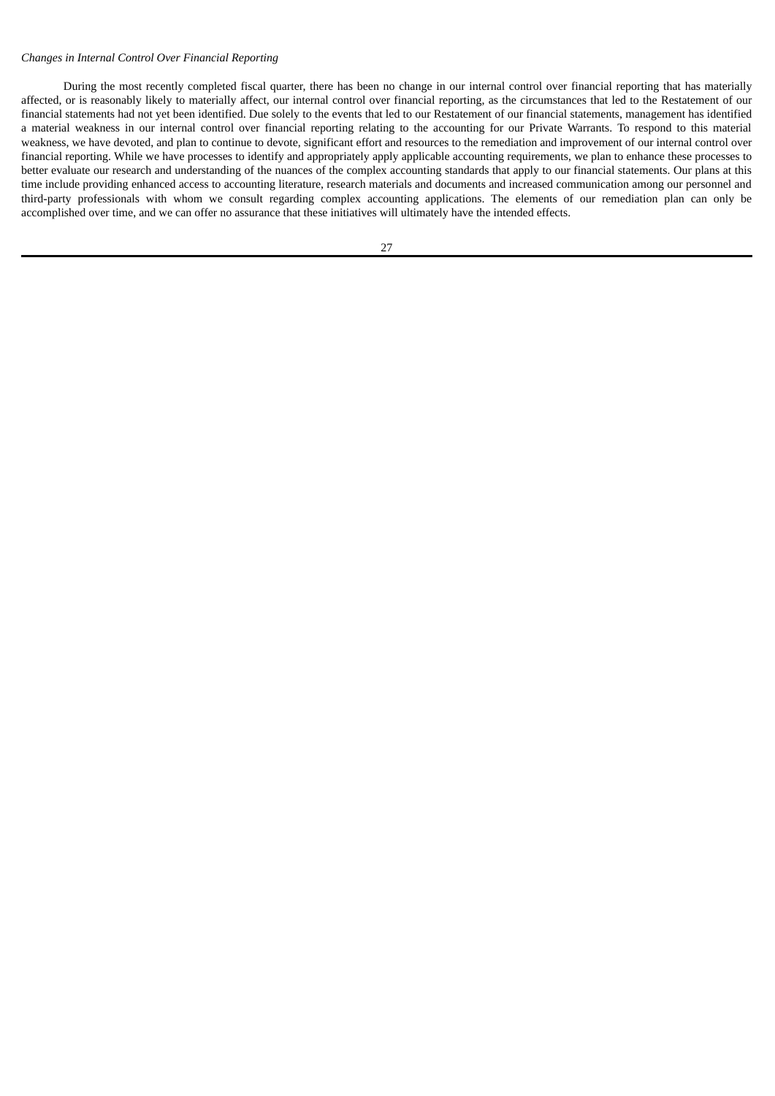#### *Changes in Internal Control Over Financial Reporting*

During the most recently completed fiscal quarter, there has been no change in our internal control over financial reporting that has materially affected, or is reasonably likely to materially affect, our internal control over financial reporting, as the circumstances that led to the Restatement of our financial statements had not yet been identified. Due solely to the events that led to our Restatement of our financial statements, management has identified a material weakness in our internal control over financial reporting relating to the accounting for our Private Warrants. To respond to this material weakness, we have devoted, and plan to continue to devote, significant effort and resources to the remediation and improvement of our internal control over financial reporting. While we have processes to identify and appropriately apply applicable accounting requirements, we plan to enhance these processes to better evaluate our research and understanding of the nuances of the complex accounting standards that apply to our financial statements. Our plans at this time include providing enhanced access to accounting literature, research materials and documents and increased communication among our personnel and third-party professionals with whom we consult regarding complex accounting applications. The elements of our remediation plan can only be accomplished over time, and we can offer no assurance that these initiatives will ultimately have the intended effects.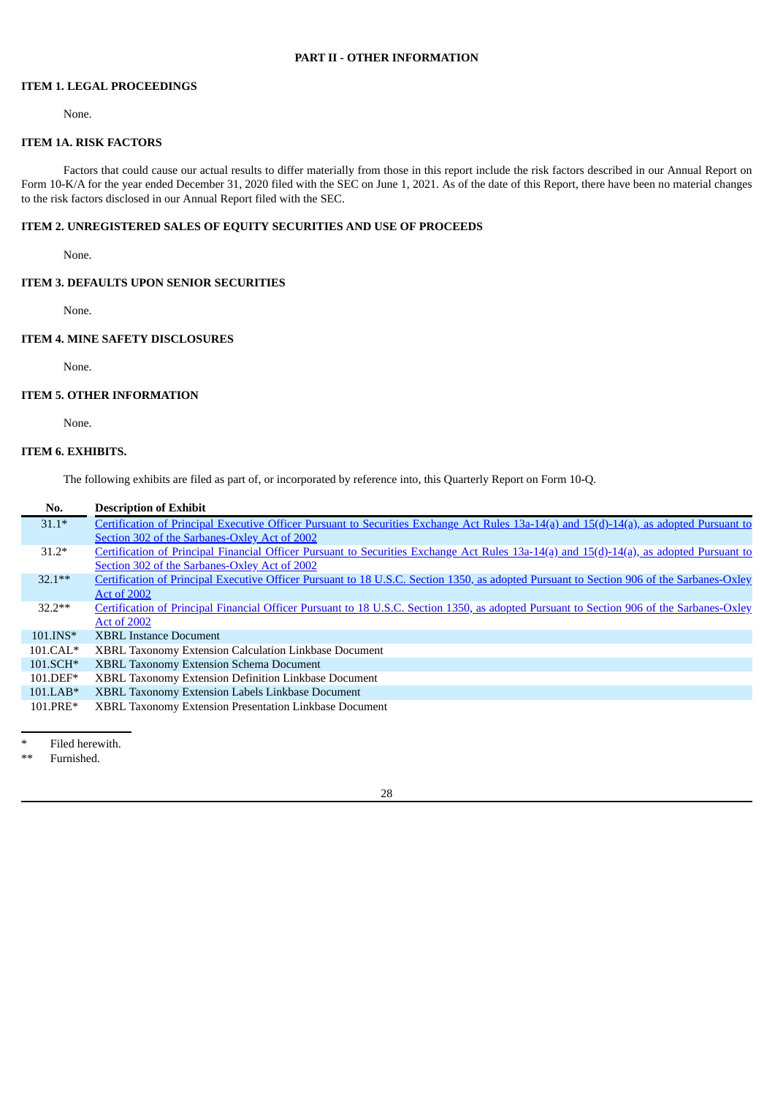## **PART II - OTHER INFORMATION**

## <span id="page-29-0"></span>**ITEM 1. LEGAL PROCEEDINGS**

None.

## <span id="page-29-1"></span>**ITEM 1A. RISK FACTORS**

Factors that could cause our actual results to differ materially from those in this report include the risk factors described in our Annual Report on Form 10-K/A for the year ended December 31, 2020 filed with the SEC on June 1, 2021. As of the date of this Report, there have been no material changes to the risk factors disclosed in our Annual Report filed with the SEC.

## <span id="page-29-2"></span>**ITEM 2. UNREGISTERED SALES OF EQUITY SECURITIES AND USE OF PROCEEDS**

None.

## **ITEM 3. DEFAULTS UPON SENIOR SECURITIES**

None.

# **ITEM 4. MINE SAFETY DISCLOSURES**

None.

## **ITEM 5. OTHER INFORMATION**

None.

# <span id="page-29-3"></span>**ITEM 6. EXHIBITS.**

The following exhibits are filed as part of, or incorporated by reference into, this Quarterly Report on Form 10-Q.

| No.        | <b>Description of Exhibit</b>                                                                                                             |
|------------|-------------------------------------------------------------------------------------------------------------------------------------------|
| $31.1*$    | Certification of Principal Executive Officer Pursuant to Securities Exchange Act Rules 13a-14(a) and 15(d)-14(a), as adopted Pursuant to  |
|            | Section 302 of the Sarbanes-Oxley Act of 2002                                                                                             |
| $31.2*$    | Certification of Principal Financial Officer Pursuant to Securities Exchange Act Rules 13a-14(a) and 15(d)-14(a), as adopted Pursuant to  |
|            | Section 302 of the Sarbanes-Oxley Act of 2002                                                                                             |
| $32.1**$   | Certification of Principal Executive Officer Pursuant to 18 U.S.C. Section 1350, as adopted Pursuant to Section 906 of the Sarbanes-Oxley |
|            | <b>Act of 2002</b>                                                                                                                        |
| $32.2**$   | Certification of Principal Financial Officer Pursuant to 18 U.S.C. Section 1350, as adopted Pursuant to Section 906 of the Sarbanes-Oxley |
|            | <b>Act of 2002</b>                                                                                                                        |
| $101.INS*$ | <b>XBRL Instance Document</b>                                                                                                             |
| $101.CAL*$ | XBRL Taxonomy Extension Calculation Linkbase Document                                                                                     |
| 101.SCH*   | XBRL Taxonomy Extension Schema Document                                                                                                   |
| $101.DEF*$ | XBRL Taxonomy Extension Definition Linkbase Document                                                                                      |
| $101.LAB*$ | XBRL Taxonomy Extension Labels Linkbase Document                                                                                          |
| 101.PRE*   | XBRL Taxonomy Extension Presentation Linkbase Document                                                                                    |

Filed herewith.

Furnished.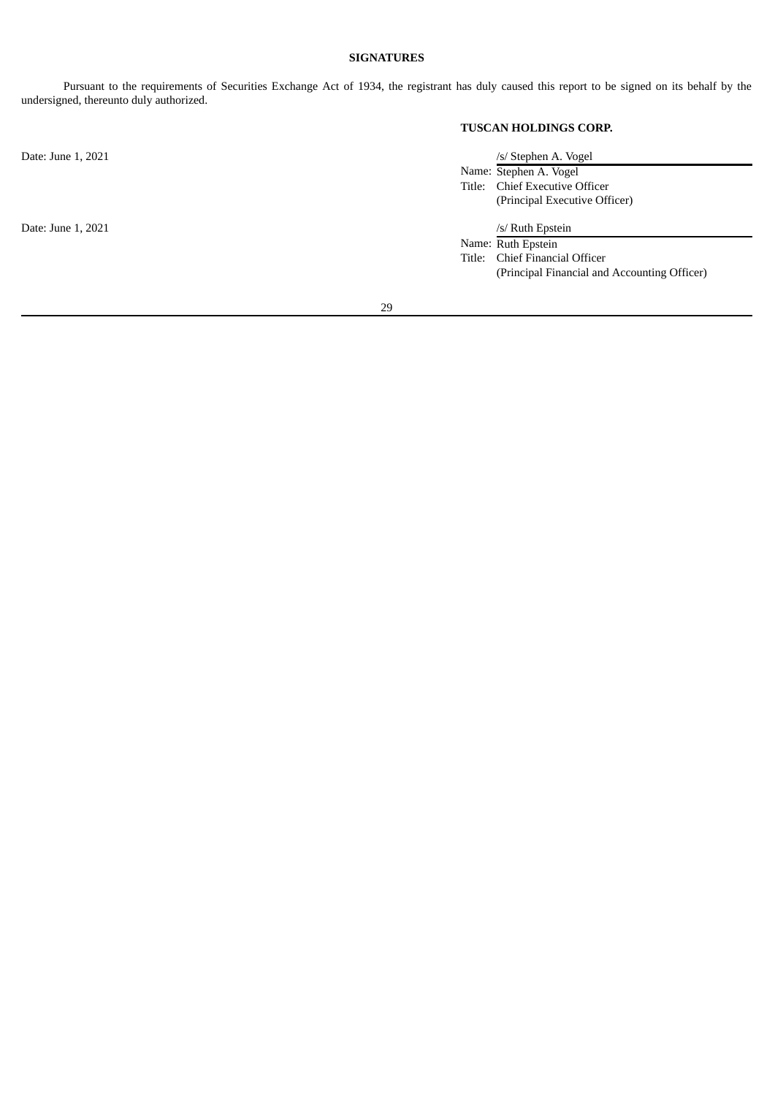## **SIGNATURES**

<span id="page-30-0"></span>Pursuant to the requirements of Securities Exchange Act of 1934, the registrant has duly caused this report to be signed on its behalf by the undersigned, thereunto duly authorized.

Date: June 1, 2021

Date: June 1, 2021

# **TUSCAN HOLDINGS CORP.**

| /s/ Stephen A. Vogel                                             |
|------------------------------------------------------------------|
| Name: Stephen A. Vogel                                           |
| Title: Chief Executive Officer                                   |
| (Principal Executive Officer)                                    |
|                                                                  |
| /s/ Ruth Epstein                                                 |
| $\mathbf{r}$ $\mathbf{r}$ $\mathbf{r}$ $\mathbf{r}$ $\mathbf{r}$ |

Name: Ruth Epstein Title: Chief Financial Officer (Principal Financial and Accounting Officer)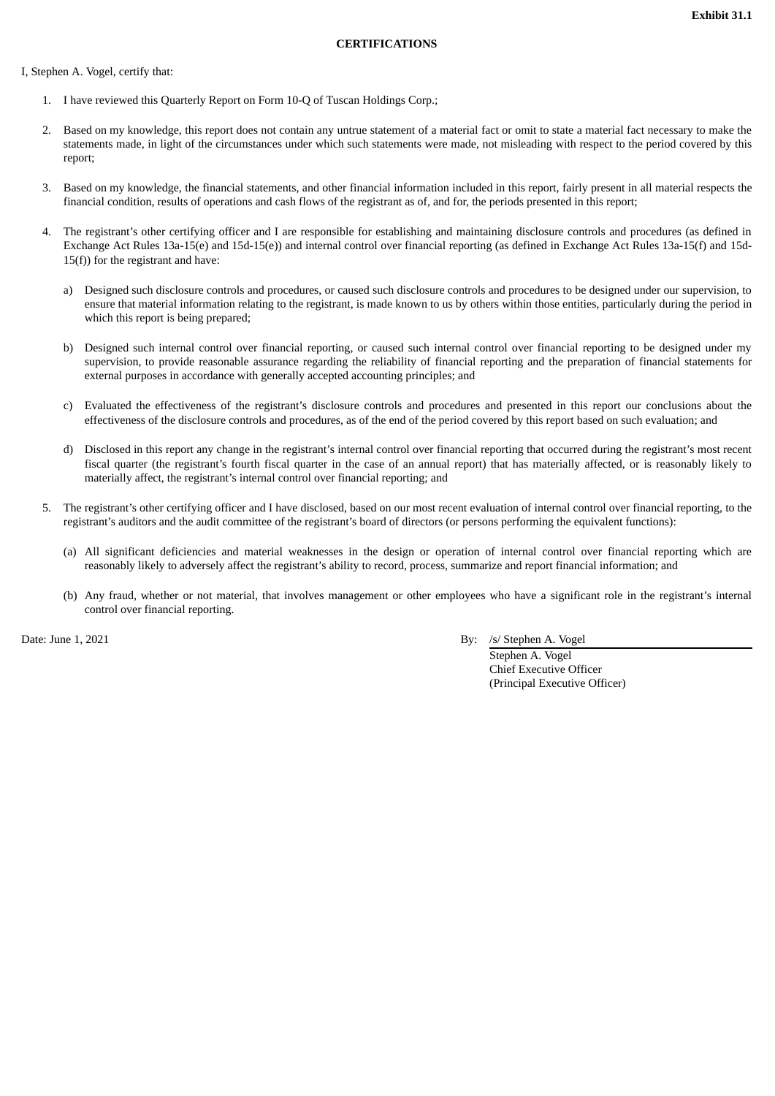## **CERTIFICATIONS**

<span id="page-31-0"></span>I, Stephen A. Vogel, certify that:

- 1. I have reviewed this Quarterly Report on Form 10-Q of Tuscan Holdings Corp.;
- 2. Based on my knowledge, this report does not contain any untrue statement of a material fact or omit to state a material fact necessary to make the statements made, in light of the circumstances under which such statements were made, not misleading with respect to the period covered by this report;
- 3. Based on my knowledge, the financial statements, and other financial information included in this report, fairly present in all material respects the financial condition, results of operations and cash flows of the registrant as of, and for, the periods presented in this report;
- 4. The registrant's other certifying officer and I are responsible for establishing and maintaining disclosure controls and procedures (as defined in Exchange Act Rules 13a-15(e) and 15d-15(e)) and internal control over financial reporting (as defined in Exchange Act Rules 13a-15(f) and 15d- $15(f)$ ) for the registrant and have:
	- a) Designed such disclosure controls and procedures, or caused such disclosure controls and procedures to be designed under our supervision, to ensure that material information relating to the registrant, is made known to us by others within those entities, particularly during the period in which this report is being prepared;
	- b) Designed such internal control over financial reporting, or caused such internal control over financial reporting to be designed under my supervision, to provide reasonable assurance regarding the reliability of financial reporting and the preparation of financial statements for external purposes in accordance with generally accepted accounting principles; and
	- c) Evaluated the effectiveness of the registrant's disclosure controls and procedures and presented in this report our conclusions about the effectiveness of the disclosure controls and procedures, as of the end of the period covered by this report based on such evaluation; and
	- d) Disclosed in this report any change in the registrant's internal control over financial reporting that occurred during the registrant's most recent fiscal quarter (the registrant's fourth fiscal quarter in the case of an annual report) that has materially affected, or is reasonably likely to materially affect, the registrant's internal control over financial reporting; and
- 5. The registrant's other certifying officer and I have disclosed, based on our most recent evaluation of internal control over financial reporting, to the registrant's auditors and the audit committee of the registrant's board of directors (or persons performing the equivalent functions):
	- (a) All significant deficiencies and material weaknesses in the design or operation of internal control over financial reporting which are reasonably likely to adversely affect the registrant's ability to record, process, summarize and report financial information; and
	- (b) Any fraud, whether or not material, that involves management or other employees who have a significant role in the registrant's internal control over financial reporting.

# Date: June 1, 2021 By: /s/ Stephen A. Vogel

Stephen A. Vogel Chief Executive Officer (Principal Executive Officer)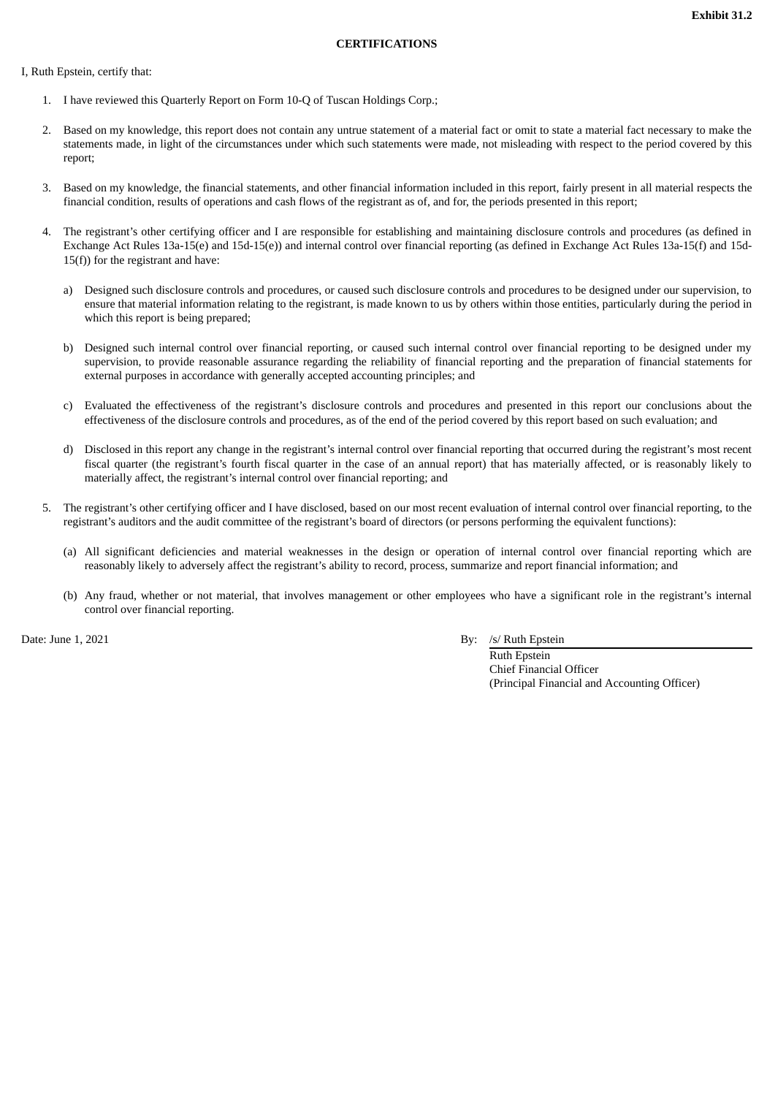## **CERTIFICATIONS**

<span id="page-32-0"></span>I, Ruth Epstein, certify that:

- 1. I have reviewed this Quarterly Report on Form 10-Q of Tuscan Holdings Corp.;
- 2. Based on my knowledge, this report does not contain any untrue statement of a material fact or omit to state a material fact necessary to make the statements made, in light of the circumstances under which such statements were made, not misleading with respect to the period covered by this report;
- 3. Based on my knowledge, the financial statements, and other financial information included in this report, fairly present in all material respects the financial condition, results of operations and cash flows of the registrant as of, and for, the periods presented in this report;
- 4. The registrant's other certifying officer and I are responsible for establishing and maintaining disclosure controls and procedures (as defined in Exchange Act Rules 13a-15(e) and 15d-15(e)) and internal control over financial reporting (as defined in Exchange Act Rules 13a-15(f) and 15d-15(f)) for the registrant and have:
	- a) Designed such disclosure controls and procedures, or caused such disclosure controls and procedures to be designed under our supervision, to ensure that material information relating to the registrant, is made known to us by others within those entities, particularly during the period in which this report is being prepared;
	- b) Designed such internal control over financial reporting, or caused such internal control over financial reporting to be designed under my supervision, to provide reasonable assurance regarding the reliability of financial reporting and the preparation of financial statements for external purposes in accordance with generally accepted accounting principles; and
	- c) Evaluated the effectiveness of the registrant's disclosure controls and procedures and presented in this report our conclusions about the effectiveness of the disclosure controls and procedures, as of the end of the period covered by this report based on such evaluation; and
	- d) Disclosed in this report any change in the registrant's internal control over financial reporting that occurred during the registrant's most recent fiscal quarter (the registrant's fourth fiscal quarter in the case of an annual report) that has materially affected, or is reasonably likely to materially affect, the registrant's internal control over financial reporting; and
- 5. The registrant's other certifying officer and I have disclosed, based on our most recent evaluation of internal control over financial reporting, to the registrant's auditors and the audit committee of the registrant's board of directors (or persons performing the equivalent functions):
	- (a) All significant deficiencies and material weaknesses in the design or operation of internal control over financial reporting which are reasonably likely to adversely affect the registrant's ability to record, process, summarize and report financial information; and
	- (b) Any fraud, whether or not material, that involves management or other employees who have a significant role in the registrant's internal control over financial reporting.

Date: June 1, 2021 By: /s/ Ruth Epstein

Ruth Epstein Chief Financial Officer (Principal Financial and Accounting Officer)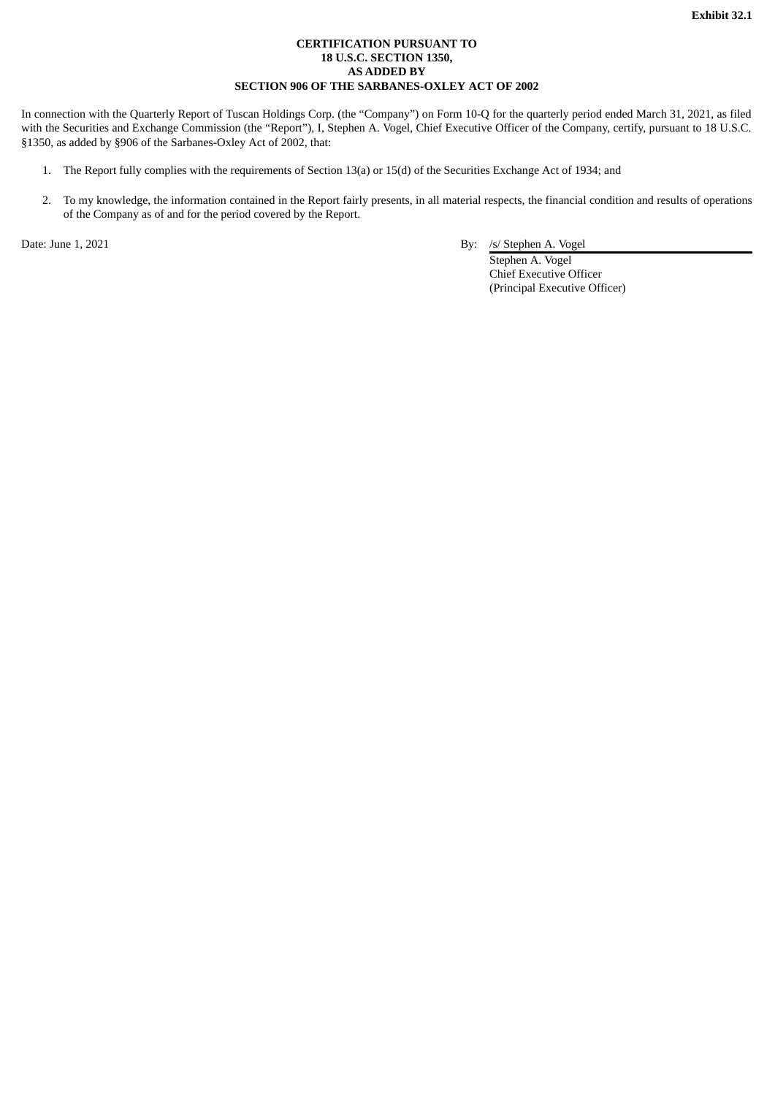## **CERTIFICATION PURSUANT TO 18 U.S.C. SECTION 1350, AS ADDED BY SECTION 906 OF THE SARBANES-OXLEY ACT OF 2002**

<span id="page-33-0"></span>In connection with the Quarterly Report of Tuscan Holdings Corp. (the "Company") on Form 10-Q for the quarterly period ended March 31, 2021, as filed with the Securities and Exchange Commission (the "Report"), I, Stephen A. Vogel, Chief Executive Officer of the Company, certify, pursuant to 18 U.S.C. §1350, as added by §906 of the Sarbanes-Oxley Act of 2002, that:

- 1. The Report fully complies with the requirements of Section 13(a) or 15(d) of the Securities Exchange Act of 1934; and
- 2. To my knowledge, the information contained in the Report fairly presents, in all material respects, the financial condition and results of operations of the Company as of and for the period covered by the Report.

Date: June 1, 2021 By: /s/ Stephen A. Vogel

Stephen A. Vogel Chief Executive Officer (Principal Executive Officer)